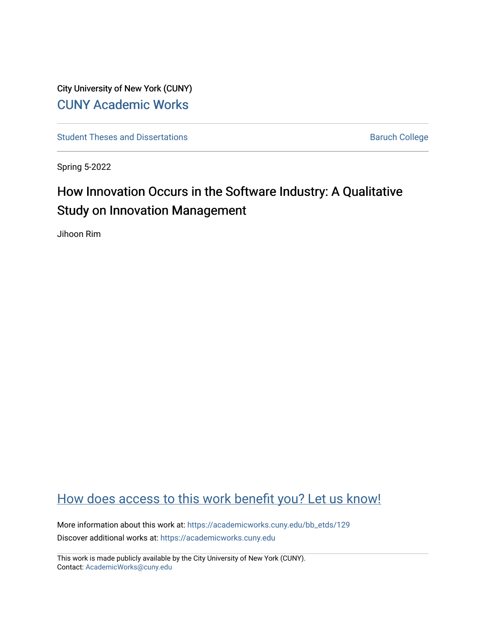City University of New York (CUNY) [CUNY Academic Works](https://academicworks.cuny.edu/) 

[Student Theses and Dissertations](https://academicworks.cuny.edu/bb_etds) **Baruch College** Baruch College

Spring 5-2022

# How Innovation Occurs in the Software Industry: A Qualitative Study on Innovation Management

Jihoon Rim

# [How does access to this work benefit you? Let us know!](http://ols.cuny.edu/academicworks/?ref=https://academicworks.cuny.edu/bb_etds/129)

More information about this work at: [https://academicworks.cuny.edu/bb\\_etds/129](https://academicworks.cuny.edu/bb_etds/129) Discover additional works at: [https://academicworks.cuny.edu](https://academicworks.cuny.edu/?)

This work is made publicly available by the City University of New York (CUNY). Contact: [AcademicWorks@cuny.edu](mailto:AcademicWorks@cuny.edu)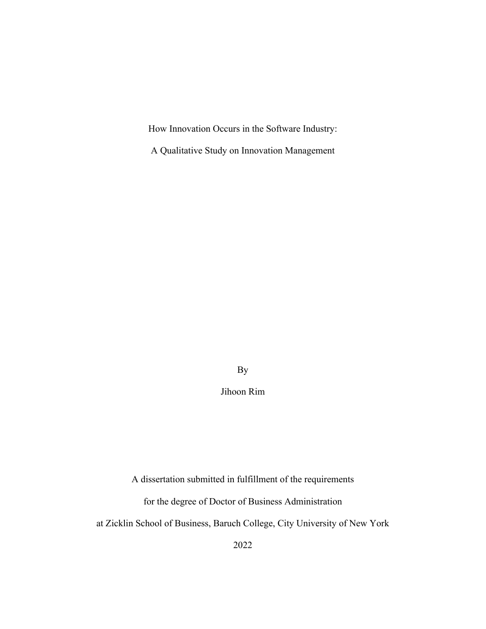How Innovation Occurs in the Software Industry:

A Qualitative Study on Innovation Management

By

Jihoon Rim

A dissertation submitted in fulfillment of the requirements

for the degree of Doctor of Business Administration

at Zicklin School of Business, Baruch College, City University of New York

2022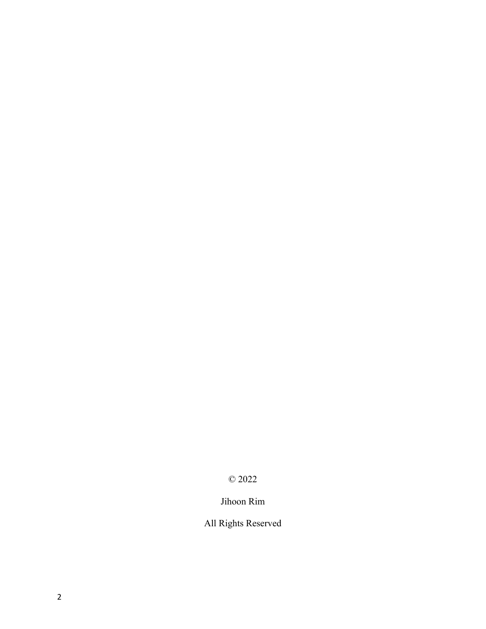# © 2022

# Jihoon Rim

# All Rights Reserved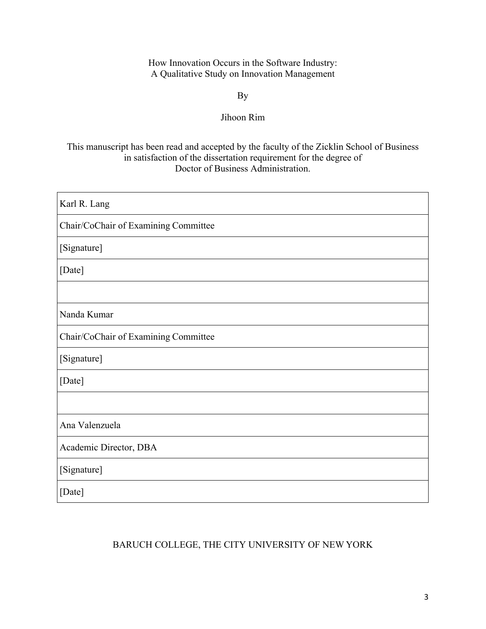How Innovation Occurs in the Software Industry: A Qualitative Study on Innovation Management

By

## Jihoon Rim

## This manuscript has been read and accepted by the faculty of the Zicklin School of Business in satisfaction of the dissertation requirement for the degree of Doctor of Business Administration.

| Karl R. Lang                         |
|--------------------------------------|
| Chair/CoChair of Examining Committee |
| [Signature]                          |
| [Date]                               |
|                                      |
| Nanda Kumar                          |
| Chair/CoChair of Examining Committee |
| [Signature]                          |
| [Date]                               |
|                                      |
| Ana Valenzuela                       |
| Academic Director, DBA               |
| [Signature]                          |
| [Date]                               |

## BARUCH COLLEGE, THE CITY UNIVERSITY OF NEW YORK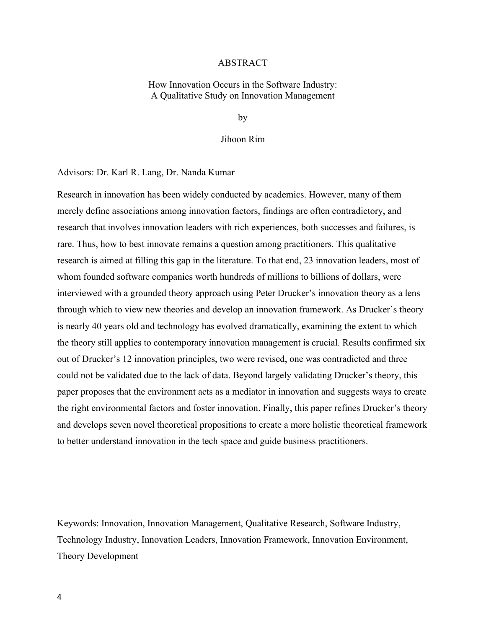#### ABSTRACT

How Innovation Occurs in the Software Industry: A Qualitative Study on Innovation Management

by

#### Jihoon Rim

Advisors: Dr. Karl R. Lang, Dr. Nanda Kumar

Research in innovation has been widely conducted by academics. However, many of them merely define associations among innovation factors, findings are often contradictory, and research that involves innovation leaders with rich experiences, both successes and failures, is rare. Thus, how to best innovate remains a question among practitioners. This qualitative research is aimed at filling this gap in the literature. To that end, 23 innovation leaders, most of whom founded software companies worth hundreds of millions to billions of dollars, were interviewed with a grounded theory approach using Peter Drucker's innovation theory as a lens through which to view new theories and develop an innovation framework. As Drucker's theory is nearly 40 years old and technology has evolved dramatically, examining the extent to which the theory still applies to contemporary innovation management is crucial. Results confirmed six out of Drucker's 12 innovation principles, two were revised, one was contradicted and three could not be validated due to the lack of data. Beyond largely validating Drucker's theory, this paper proposes that the environment acts as a mediator in innovation and suggests ways to create the right environmental factors and foster innovation. Finally, this paper refines Drucker's theory and develops seven novel theoretical propositions to create a more holistic theoretical framework to better understand innovation in the tech space and guide business practitioners.

Keywords: Innovation, Innovation Management, Qualitative Research, Software Industry, Technology Industry, Innovation Leaders, Innovation Framework, Innovation Environment, Theory Development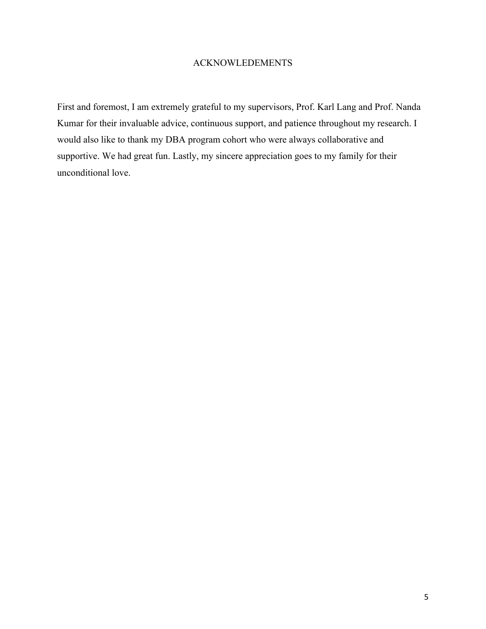## ACKNOWLEDEMENTS

First and foremost, I am extremely grateful to my supervisors, Prof. Karl Lang and Prof. Nanda Kumar for their invaluable advice, continuous support, and patience throughout my research. I would also like to thank my DBA program cohort who were always collaborative and supportive. We had great fun. Lastly, my sincere appreciation goes to my family for their unconditional love.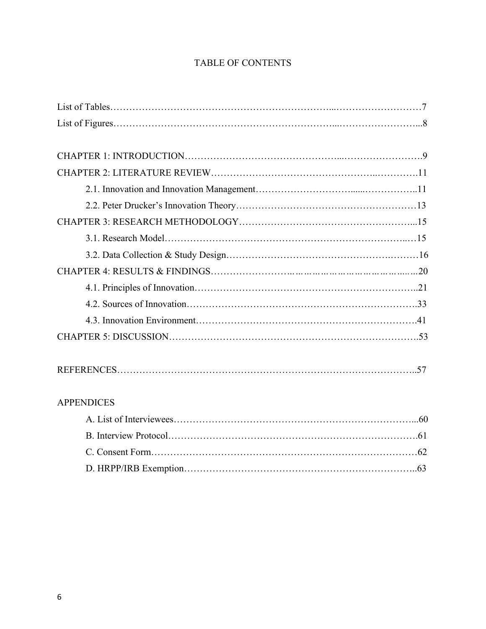# TABLE OF CONTENTS

| <b>APPENDICES</b> |  |
|-------------------|--|
|                   |  |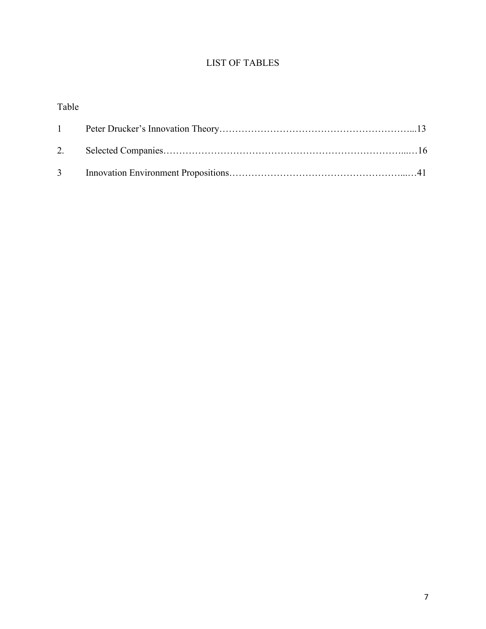# LIST OF TABLES

# Table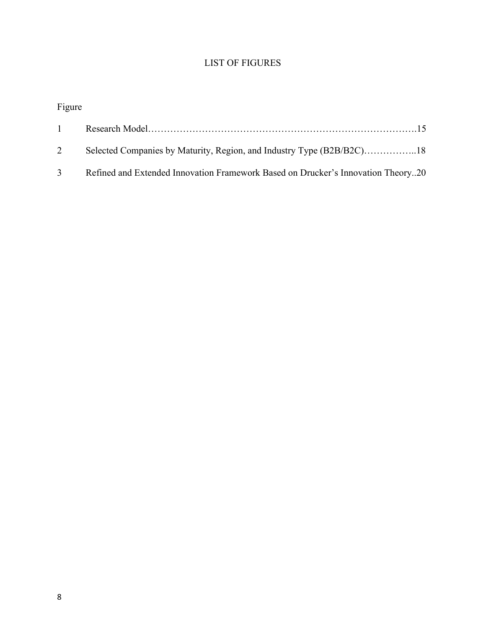# LIST OF FIGURES

# Figure

| $1 \quad$ |                                                                                    |
|-----------|------------------------------------------------------------------------------------|
| 2         |                                                                                    |
|           | 3 Refined and Extended Innovation Framework Based on Drucker's Innovation Theory20 |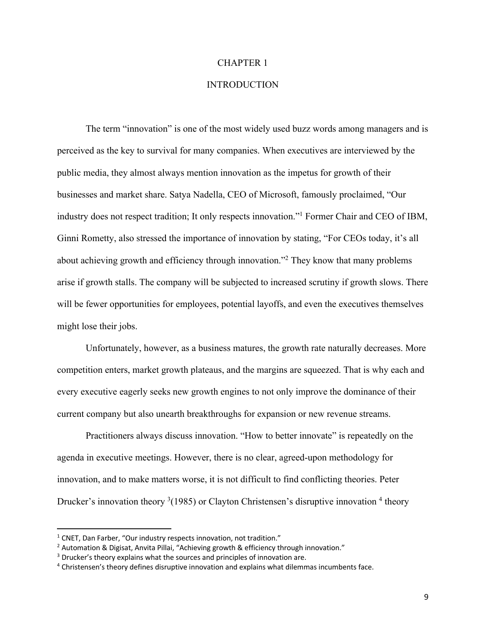#### CHAPTER 1

## **INTRODUCTION**

The term "innovation" is one of the most widely used buzz words among managers and is perceived as the key to survival for many companies. When executives are interviewed by the public media, they almost always mention innovation as the impetus for growth of their businesses and market share. Satya Nadella, CEO of Microsoft, famously proclaimed, "Our industry does not respect tradition; It only respects innovation."1 Former Chair and CEO of IBM, Ginni Rometty, also stressed the importance of innovation by stating, "For CEOs today, it's all about achieving growth and efficiency through innovation."2 They know that many problems arise if growth stalls. The company will be subjected to increased scrutiny if growth slows. There will be fewer opportunities for employees, potential layoffs, and even the executives themselves might lose their jobs.

Unfortunately, however, as a business matures, the growth rate naturally decreases. More competition enters, market growth plateaus, and the margins are squeezed. That is why each and every executive eagerly seeks new growth engines to not only improve the dominance of their current company but also unearth breakthroughs for expansion or new revenue streams.

Practitioners always discuss innovation. "How to better innovate" is repeatedly on the agenda in executive meetings. However, there is no clear, agreed-upon methodology for innovation, and to make matters worse, it is not difficult to find conflicting theories. Peter Drucker's innovation theory  $3(1985)$  or Clayton Christensen's disruptive innovation  $4$  theory

<sup>&</sup>lt;sup>1</sup> CNET, Dan Farber, "Our industry respects innovation, not tradition."

 $2$  Automation & Digisat, Anvita Pillai, "Achieving growth & efficiency through innovation."

<sup>&</sup>lt;sup>3</sup> Drucker's theory explains what the sources and principles of innovation are.

<sup>4</sup> Christensen's theory defines disruptive innovation and explains what dilemmas incumbents face.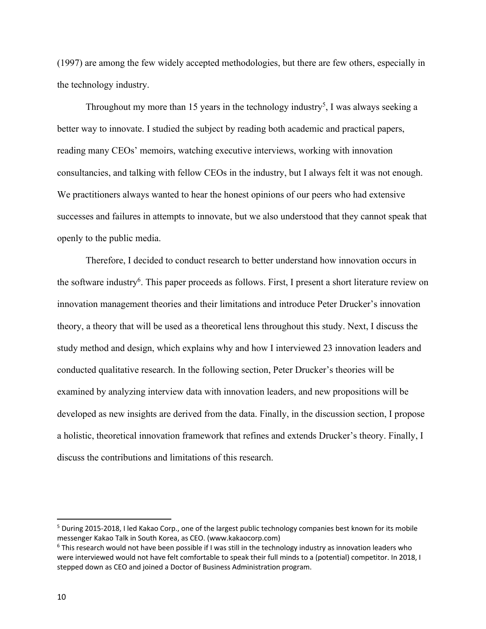(1997) are among the few widely accepted methodologies, but there are few others, especially in the technology industry.

Throughout my more than 15 years in the technology industry<sup>5</sup>, I was always seeking a better way to innovate. I studied the subject by reading both academic and practical papers, reading many CEOs' memoirs, watching executive interviews, working with innovation consultancies, and talking with fellow CEOs in the industry, but I always felt it was not enough. We practitioners always wanted to hear the honest opinions of our peers who had extensive successes and failures in attempts to innovate, but we also understood that they cannot speak that openly to the public media.

Therefore, I decided to conduct research to better understand how innovation occurs in the software industry<sup>6</sup>. This paper proceeds as follows. First, I present a short literature review on innovation management theories and their limitations and introduce Peter Drucker's innovation theory, a theory that will be used as a theoretical lens throughout this study. Next, I discuss the study method and design, which explains why and how I interviewed 23 innovation leaders and conducted qualitative research. In the following section, Peter Drucker's theories will be examined by analyzing interview data with innovation leaders, and new propositions will be developed as new insights are derived from the data. Finally, in the discussion section, I propose a holistic, theoretical innovation framework that refines and extends Drucker's theory. Finally, I discuss the contributions and limitations of this research.

<sup>5</sup> During 2015-2018, I led Kakao Corp., one of the largest public technology companies best known for its mobile messenger Kakao Talk in South Korea, as CEO. (www.kakaocorp.com)

 $6$  This research would not have been possible if I was still in the technology industry as innovation leaders who were interviewed would not have felt comfortable to speak their full minds to a (potential) competitor. In 2018, I stepped down as CEO and joined a Doctor of Business Administration program.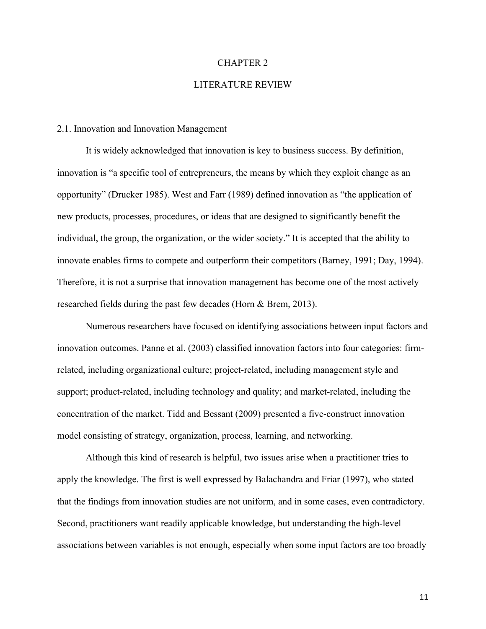#### CHAPTER 2

## LITERATURE REVIEW

#### 2.1. Innovation and Innovation Management

It is widely acknowledged that innovation is key to business success. By definition, innovation is "a specific tool of entrepreneurs, the means by which they exploit change as an opportunity" (Drucker 1985). West and Farr (1989) defined innovation as "the application of new products, processes, procedures, or ideas that are designed to significantly benefit the individual, the group, the organization, or the wider society." It is accepted that the ability to innovate enables firms to compete and outperform their competitors (Barney, 1991; Day, 1994). Therefore, it is not a surprise that innovation management has become one of the most actively researched fields during the past few decades (Horn & Brem, 2013).

Numerous researchers have focused on identifying associations between input factors and innovation outcomes. Panne et al. (2003) classified innovation factors into four categories: firmrelated, including organizational culture; project-related, including management style and support; product-related, including technology and quality; and market-related, including the concentration of the market. Tidd and Bessant (2009) presented a five-construct innovation model consisting of strategy, organization, process, learning, and networking.

Although this kind of research is helpful, two issues arise when a practitioner tries to apply the knowledge. The first is well expressed by Balachandra and Friar (1997), who stated that the findings from innovation studies are not uniform, and in some cases, even contradictory. Second, practitioners want readily applicable knowledge, but understanding the high-level associations between variables is not enough, especially when some input factors are too broadly

11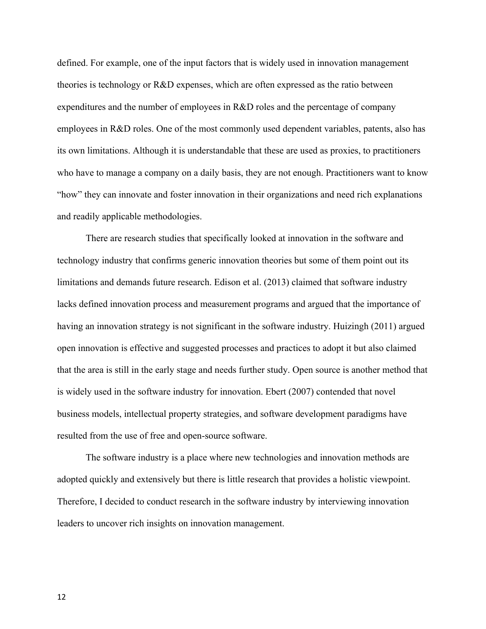defined. For example, one of the input factors that is widely used in innovation management theories is technology or R&D expenses, which are often expressed as the ratio between expenditures and the number of employees in R&D roles and the percentage of company employees in R&D roles. One of the most commonly used dependent variables, patents, also has its own limitations. Although it is understandable that these are used as proxies, to practitioners who have to manage a company on a daily basis, they are not enough. Practitioners want to know "how" they can innovate and foster innovation in their organizations and need rich explanations and readily applicable methodologies.

There are research studies that specifically looked at innovation in the software and technology industry that confirms generic innovation theories but some of them point out its limitations and demands future research. Edison et al. (2013) claimed that software industry lacks defined innovation process and measurement programs and argued that the importance of having an innovation strategy is not significant in the software industry. Huizingh (2011) argued open innovation is effective and suggested processes and practices to adopt it but also claimed that the area is still in the early stage and needs further study. Open source is another method that is widely used in the software industry for innovation. Ebert (2007) contended that novel business models, intellectual property strategies, and software development paradigms have resulted from the use of free and open-source software.

The software industry is a place where new technologies and innovation methods are adopted quickly and extensively but there is little research that provides a holistic viewpoint. Therefore, I decided to conduct research in the software industry by interviewing innovation leaders to uncover rich insights on innovation management.

12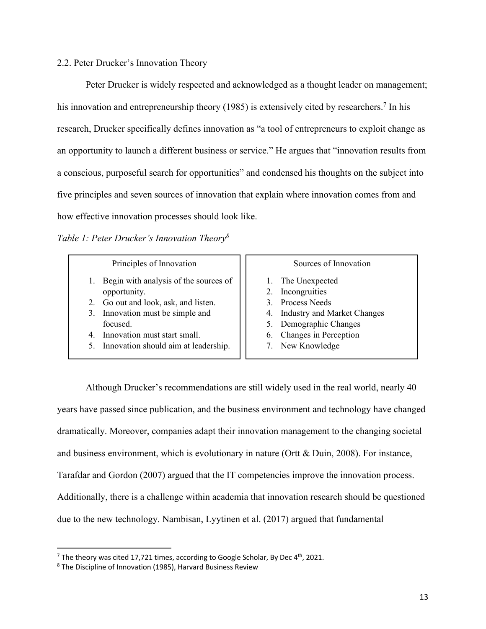### 2.2. Peter Drucker's Innovation Theory

Peter Drucker is widely respected and acknowledged as a thought leader on management; his innovation and entrepreneurship theory (1985) is extensively cited by researchers.<sup>7</sup> In his research, Drucker specifically defines innovation as "a tool of entrepreneurs to exploit change as an opportunity to launch a different business or service." He argues that "innovation results from a conscious, purposeful search for opportunities" and condensed his thoughts on the subject into five principles and seven sources of innovation that explain where innovation comes from and how effective innovation processes should look like.

*Table 1: Peter Drucker's Innovation Theory8*

| Principles of Innovation              |  |  | Sources of Innovation          |
|---------------------------------------|--|--|--------------------------------|
| Begin with analysis of the sources of |  |  | 1. The Unexpected              |
| opportunity.                          |  |  | 2. Incongruities               |
| 2. Go out and look, ask, and listen.  |  |  | 3. Process Needs               |
| 3. Innovation must be simple and      |  |  | 4. Industry and Market Changes |
| focused.                              |  |  | 5. Demographic Changes         |
| 4. Innovation must start small.       |  |  | 6. Changes in Perception       |
| Innovation should aim at leadership.  |  |  | 7. New Knowledge               |

Although Drucker's recommendations are still widely used in the real world, nearly 40 years have passed since publication, and the business environment and technology have changed dramatically. Moreover, companies adapt their innovation management to the changing societal and business environment, which is evolutionary in nature (Ortt & Duin, 2008). For instance, Tarafdar and Gordon (2007) argued that the IT competencies improve the innovation process. Additionally, there is a challenge within academia that innovation research should be questioned due to the new technology. Nambisan, Lyytinen et al. (2017) argued that fundamental

<sup>&</sup>lt;sup>7</sup> The theory was cited 17,721 times, according to Google Scholar, By Dec 4<sup>th</sup>, 2021.<br><sup>8</sup> The Discipline of Innovation (1985), Harvard Business Review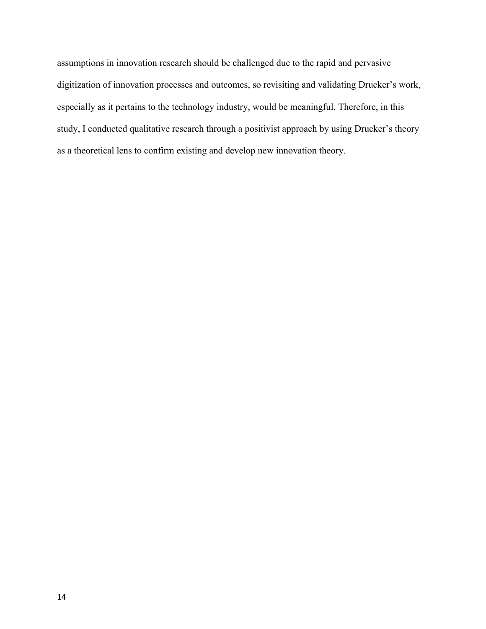assumptions in innovation research should be challenged due to the rapid and pervasive digitization of innovation processes and outcomes, so revisiting and validating Drucker's work, especially as it pertains to the technology industry, would be meaningful. Therefore, in this study, I conducted qualitative research through a positivist approach by using Drucker's theory as a theoretical lens to confirm existing and develop new innovation theory.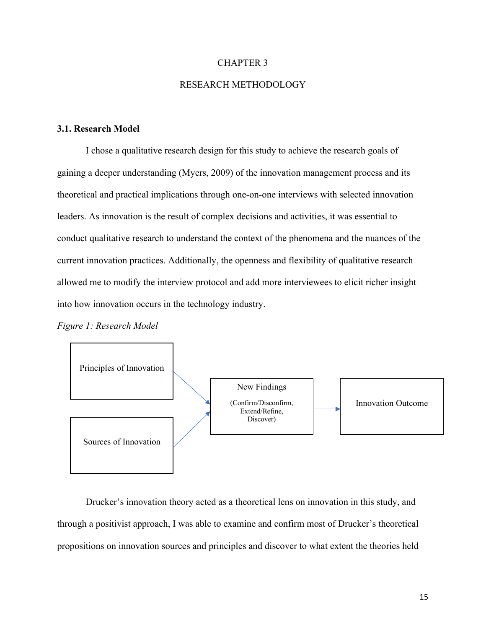#### CHAPTER 3

## RESEARCH METHODOLOGY

## **3.1. Research Model**

I chose a qualitative research design for this study to achieve the research goals of gaining a deeper understanding (Myers, 2009) of the innovation management process and its theoretical and practical implications through one-on-one interviews with selected innovation leaders. As innovation is the result of complex decisions and activities, it was essential to conduct qualitative research to understand the context of the phenomena and the nuances of the current innovation practices. Additionally, the openness and flexibility of qualitative research allowed me to modify the interview protocol and add more interviewees to elicit richer insight into how innovation occurs in the technology industry.

*Figure 1: Research Model*



Drucker's innovation theory acted as a theoretical lens on innovation in this study, and through a positivist approach, I was able to examine and confirm most of Drucker's theoretical propositions on innovation sources and principles and discover to what extent the theories held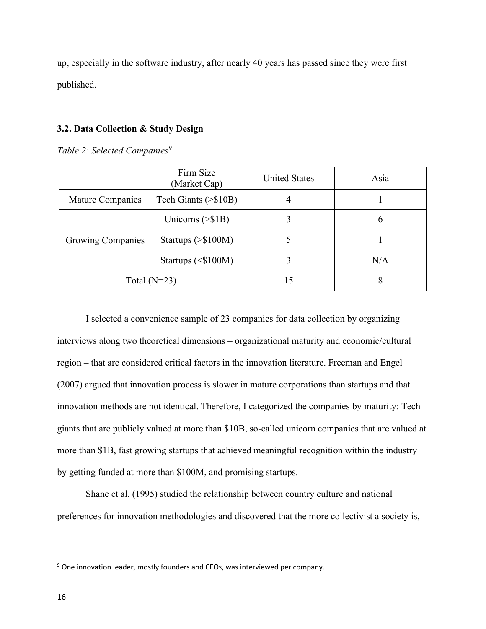up, especially in the software industry, after nearly 40 years has passed since they were first published.

#### **3.2. Data Collection & Study Design**

*Table 2: Selected Companies*<sup>9</sup>

|                          | Firm Size<br>(Market Cap) | <b>United States</b> | Asia |
|--------------------------|---------------------------|----------------------|------|
| Mature Companies         | Tech Giants (>\$10B)      | 4                    |      |
|                          | Unicorns $(>\$1B)$        |                      | 6    |
| <b>Growing Companies</b> | Startups $(>\$100M)$      |                      |      |
|                          | Startups $($100M)$        |                      | N/A  |
|                          | Total $(N=23)$            | 15                   | 8    |

I selected a convenience sample of 23 companies for data collection by organizing interviews along two theoretical dimensions – organizational maturity and economic/cultural region – that are considered critical factors in the innovation literature. Freeman and Engel (2007) argued that innovation process is slower in mature corporations than startups and that innovation methods are not identical. Therefore, I categorized the companies by maturity: Tech giants that are publicly valued at more than \$10B, so-called unicorn companies that are valued at more than \$1B, fast growing startups that achieved meaningful recognition within the industry by getting funded at more than \$100M, and promising startups.

Shane et al. (1995) studied the relationship between country culture and national preferences for innovation methodologies and discovered that the more collectivist a society is,

 $9$  One innovation leader, mostly founders and CEOs, was interviewed per company.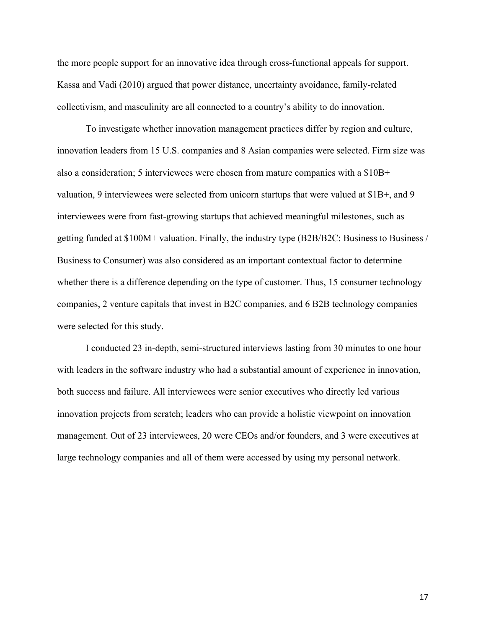the more people support for an innovative idea through cross-functional appeals for support. Kassa and Vadi (2010) argued that power distance, uncertainty avoidance, family-related collectivism, and masculinity are all connected to a country's ability to do innovation.

To investigate whether innovation management practices differ by region and culture, innovation leaders from 15 U.S. companies and 8 Asian companies were selected. Firm size was also a consideration; 5 interviewees were chosen from mature companies with a \$10B+ valuation, 9 interviewees were selected from unicorn startups that were valued at \$1B+, and 9 interviewees were from fast-growing startups that achieved meaningful milestones, such as getting funded at \$100M+ valuation. Finally, the industry type (B2B/B2C: Business to Business / Business to Consumer) was also considered as an important contextual factor to determine whether there is a difference depending on the type of customer. Thus, 15 consumer technology companies, 2 venture capitals that invest in B2C companies, and 6 B2B technology companies were selected for this study.

I conducted 23 in-depth, semi-structured interviews lasting from 30 minutes to one hour with leaders in the software industry who had a substantial amount of experience in innovation, both success and failure. All interviewees were senior executives who directly led various innovation projects from scratch; leaders who can provide a holistic viewpoint on innovation management. Out of 23 interviewees, 20 were CEOs and/or founders, and 3 were executives at large technology companies and all of them were accessed by using my personal network.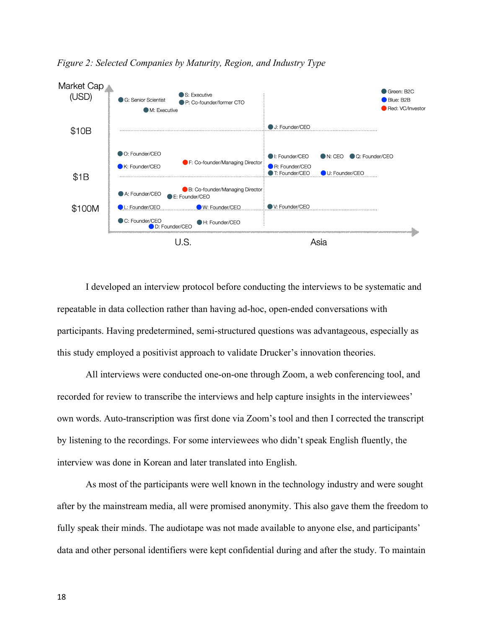

*Figure 2: Selected Companies by Maturity, Region, and Industry Type*

I developed an interview protocol before conducting the interviews to be systematic and repeatable in data collection rather than having ad-hoc, open-ended conversations with participants. Having predetermined, semi-structured questions was advantageous, especially as this study employed a positivist approach to validate Drucker's innovation theories.

All interviews were conducted one-on-one through Zoom, a web conferencing tool, and recorded for review to transcribe the interviews and help capture insights in the interviewees' own words. Auto-transcription was first done via Zoom's tool and then I corrected the transcript by listening to the recordings. For some interviewees who didn't speak English fluently, the interview was done in Korean and later translated into English.

As most of the participants were well known in the technology industry and were sought after by the mainstream media, all were promised anonymity. This also gave them the freedom to fully speak their minds. The audiotape was not made available to anyone else, and participants' data and other personal identifiers were kept confidential during and after the study. To maintain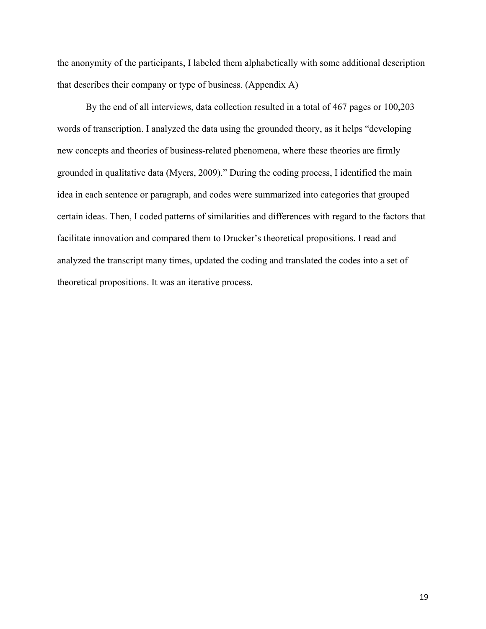the anonymity of the participants, I labeled them alphabetically with some additional description that describes their company or type of business. (Appendix A)

By the end of all interviews, data collection resulted in a total of 467 pages or 100,203 words of transcription. I analyzed the data using the grounded theory, as it helps "developing new concepts and theories of business-related phenomena, where these theories are firmly grounded in qualitative data (Myers, 2009)." During the coding process, I identified the main idea in each sentence or paragraph, and codes were summarized into categories that grouped certain ideas. Then, I coded patterns of similarities and differences with regard to the factors that facilitate innovation and compared them to Drucker's theoretical propositions. I read and analyzed the transcript many times, updated the coding and translated the codes into a set of theoretical propositions. It was an iterative process.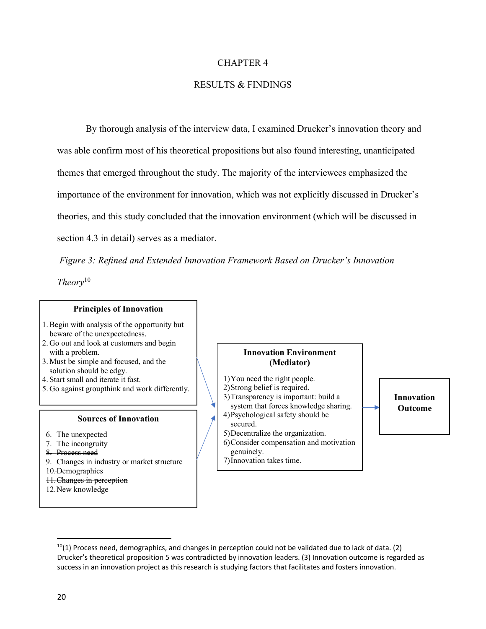#### CHAPTER 4

## RESULTS & FINDINGS

By thorough analysis of the interview data, I examined Drucker's innovation theory and was able confirm most of his theoretical propositions but also found interesting, unanticipated themes that emerged throughout the study. The majority of the interviewees emphasized the importance of the environment for innovation, which was not explicitly discussed in Drucker's theories, and this study concluded that the innovation environment (which will be discussed in section 4.3 in detail) serves as a mediator.

*Figure 3: Refined and Extended Innovation Framework Based on Drucker's Innovation* 

*Theory*<sup>10</sup>

#### **Principles of Innovation**

- 1.Begin with analysis of the opportunity but beware of the unexpectedness.
- 2. Go out and look at customers and begin with a problem.
- 3. Must be simple and focused, and the solution should be edgy.
- 4. Start small and iterate it fast.
- 5. Go against groupthink and work differently.

#### **Sources of Innovation**

- 6. The unexpected
- 7. The incongruity
- 8. Process need
- 9. Changes in industry or market structure
- 10.Demographics
- 11.Changes in perception
- 12.New knowledge

#### **Innovation Environment (Mediator)**

- 1)You need the right people. 2)Strong belief is required. 3)Transparency is important: build a system that forces knowledge sharing. 4)Psychological safety should be
- secured. 5)Decentralize the organization.
- 6)Consider compensation and motivation genuinely.
- 7)Innovation takes time.

# **Innovation Outcome**

 $10(1)$  Process need, demographics, and changes in perception could not be validated due to lack of data. (2) Drucker's theoretical proposition 5 was contradicted by innovation leaders. (3) Innovation outcome is regarded as success in an innovation project as this research is studying factors that facilitates and fosters innovation.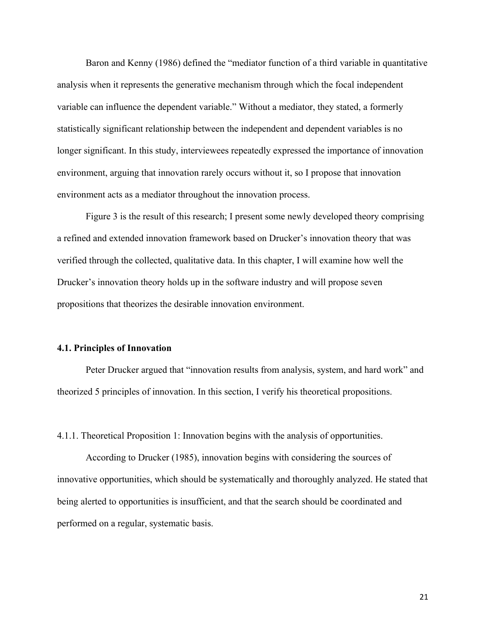Baron and Kenny (1986) defined the "mediator function of a third variable in quantitative analysis when it represents the generative mechanism through which the focal independent variable can influence the dependent variable." Without a mediator, they stated, a formerly statistically significant relationship between the independent and dependent variables is no longer significant. In this study, interviewees repeatedly expressed the importance of innovation environment, arguing that innovation rarely occurs without it, so I propose that innovation environment acts as a mediator throughout the innovation process.

Figure 3 is the result of this research; I present some newly developed theory comprising a refined and extended innovation framework based on Drucker's innovation theory that was verified through the collected, qualitative data. In this chapter, I will examine how well the Drucker's innovation theory holds up in the software industry and will propose seven propositions that theorizes the desirable innovation environment.

#### **4.1. Principles of Innovation**

Peter Drucker argued that "innovation results from analysis, system, and hard work" and theorized 5 principles of innovation. In this section, I verify his theoretical propositions.

4.1.1. Theoretical Proposition 1: Innovation begins with the analysis of opportunities.

According to Drucker (1985), innovation begins with considering the sources of innovative opportunities, which should be systematically and thoroughly analyzed. He stated that being alerted to opportunities is insufficient, and that the search should be coordinated and performed on a regular, systematic basis.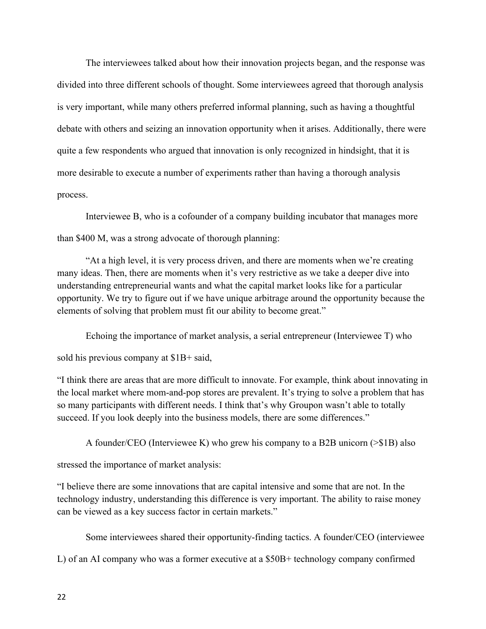The interviewees talked about how their innovation projects began, and the response was divided into three different schools of thought. Some interviewees agreed that thorough analysis is very important, while many others preferred informal planning, such as having a thoughtful debate with others and seizing an innovation opportunity when it arises. Additionally, there were quite a few respondents who argued that innovation is only recognized in hindsight, that it is more desirable to execute a number of experiments rather than having a thorough analysis process.

Interviewee B, who is a cofounder of a company building incubator that manages more than \$400 M, was a strong advocate of thorough planning:

"At a high level, it is very process driven, and there are moments when we're creating many ideas. Then, there are moments when it's very restrictive as we take a deeper dive into understanding entrepreneurial wants and what the capital market looks like for a particular opportunity. We try to figure out if we have unique arbitrage around the opportunity because the elements of solving that problem must fit our ability to become great."

Echoing the importance of market analysis, a serial entrepreneur (Interviewee T) who sold his previous company at \$1B+ said,

"I think there are areas that are more difficult to innovate. For example, think about innovating in the local market where mom-and-pop stores are prevalent. It's trying to solve a problem that has so many participants with different needs. I think that's why Groupon wasn't able to totally succeed. If you look deeply into the business models, there are some differences."

A founder/CEO (Interviewee K) who grew his company to a B2B unicorn (>\$1B) also

stressed the importance of market analysis:

"I believe there are some innovations that are capital intensive and some that are not. In the technology industry, understanding this difference is very important. The ability to raise money can be viewed as a key success factor in certain markets."

Some interviewees shared their opportunity-finding tactics. A founder/CEO (interviewee

L) of an AI company who was a former executive at a \$50B+ technology company confirmed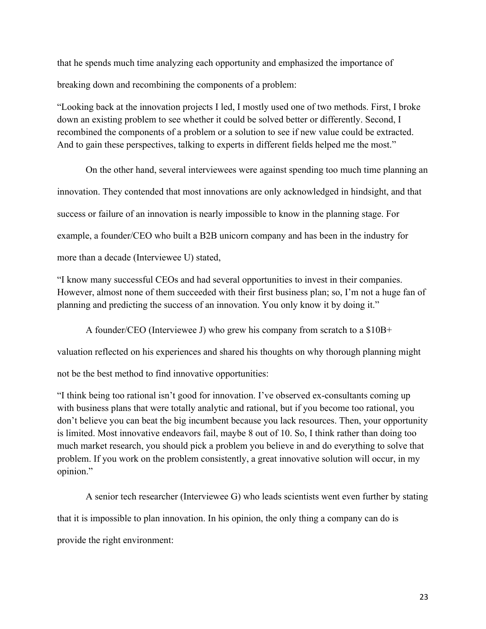that he spends much time analyzing each opportunity and emphasized the importance of breaking down and recombining the components of a problem:

"Looking back at the innovation projects I led, I mostly used one of two methods. First, I broke down an existing problem to see whether it could be solved better or differently. Second, I recombined the components of a problem or a solution to see if new value could be extracted. And to gain these perspectives, talking to experts in different fields helped me the most."

On the other hand, several interviewees were against spending too much time planning an innovation. They contended that most innovations are only acknowledged in hindsight, and that success or failure of an innovation is nearly impossible to know in the planning stage. For example, a founder/CEO who built a B2B unicorn company and has been in the industry for more than a decade (Interviewee U) stated,

"I know many successful CEOs and had several opportunities to invest in their companies. However, almost none of them succeeded with their first business plan; so, I'm not a huge fan of planning and predicting the success of an innovation. You only know it by doing it."

A founder/CEO (Interviewee J) who grew his company from scratch to a \$10B+

valuation reflected on his experiences and shared his thoughts on why thorough planning might

not be the best method to find innovative opportunities:

"I think being too rational isn't good for innovation. I've observed ex-consultants coming up with business plans that were totally analytic and rational, but if you become too rational, you don't believe you can beat the big incumbent because you lack resources. Then, your opportunity is limited. Most innovative endeavors fail, maybe 8 out of 10. So, I think rather than doing too much market research, you should pick a problem you believe in and do everything to solve that problem. If you work on the problem consistently, a great innovative solution will occur, in my opinion."

A senior tech researcher (Interviewee G) who leads scientists went even further by stating that it is impossible to plan innovation. In his opinion, the only thing a company can do is provide the right environment: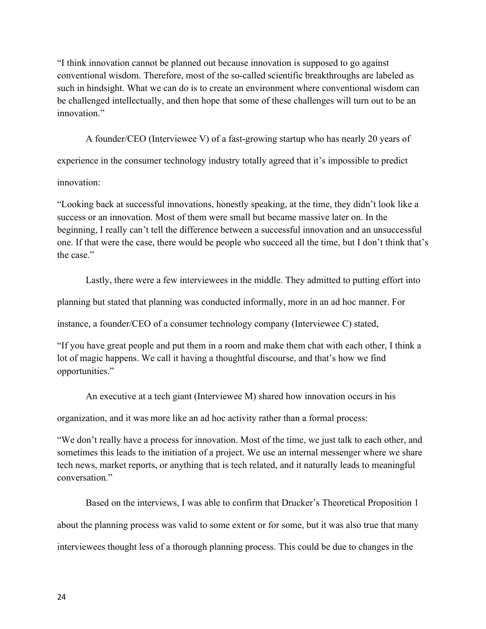"I think innovation cannot be planned out because innovation is supposed to go against conventional wisdom. Therefore, most of the so-called scientific breakthroughs are labeled as such in hindsight. What we can do is to create an environment where conventional wisdom can be challenged intellectually, and then hope that some of these challenges will turn out to be an innovation."

A founder/CEO (Interviewee V) of a fast-growing startup who has nearly 20 years of

experience in the consumer technology industry totally agreed that it's impossible to predict

innovation:

"Looking back at successful innovations, honestly speaking, at the time, they didn't look like a success or an innovation. Most of them were small but became massive later on. In the beginning, I really can't tell the difference between a successful innovation and an unsuccessful one. If that were the case, there would be people who succeed all the time, but I don't think that's the case."

Lastly, there were a few interviewees in the middle. They admitted to putting effort into

planning but stated that planning was conducted informally, more in an ad hoc manner. For

instance, a founder/CEO of a consumer technology company (Interviewee C) stated,

"If you have great people and put them in a room and make them chat with each other, I think a lot of magic happens. We call it having a thoughtful discourse, and that's how we find opportunities."

An executive at a tech giant (Interviewee M) shared how innovation occurs in his

organization, and it was more like an ad hoc activity rather than a formal process:

"We don't really have a process for innovation. Most of the time, we just talk to each other, and sometimes this leads to the initiation of a project. We use an internal messenger where we share tech news, market reports, or anything that is tech related, and it naturally leads to meaningful conversation."

Based on the interviews, I was able to confirm that Drucker's Theoretical Proposition 1 about the planning process was valid to some extent or for some, but it was also true that many interviewees thought less of a thorough planning process. This could be due to changes in the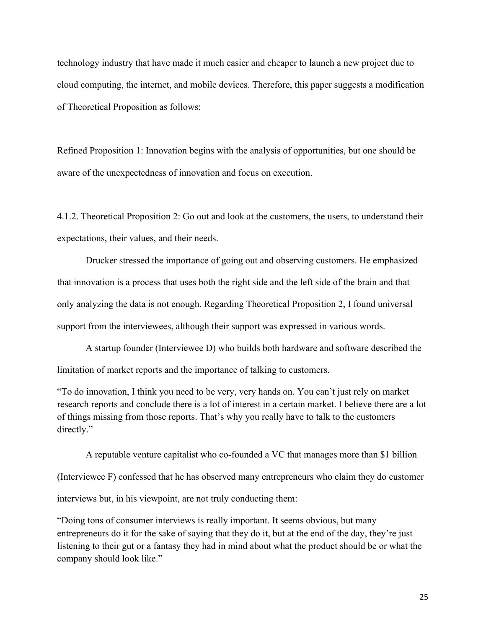technology industry that have made it much easier and cheaper to launch a new project due to cloud computing, the internet, and mobile devices. Therefore, this paper suggests a modification of Theoretical Proposition as follows:

Refined Proposition 1: Innovation begins with the analysis of opportunities, but one should be aware of the unexpectedness of innovation and focus on execution.

4.1.2. Theoretical Proposition 2: Go out and look at the customers, the users, to understand their expectations, their values, and their needs.

Drucker stressed the importance of going out and observing customers. He emphasized that innovation is a process that uses both the right side and the left side of the brain and that only analyzing the data is not enough. Regarding Theoretical Proposition 2, I found universal support from the interviewees, although their support was expressed in various words.

A startup founder (Interviewee D) who builds both hardware and software described the limitation of market reports and the importance of talking to customers.

"To do innovation, I think you need to be very, very hands on. You can't just rely on market research reports and conclude there is a lot of interest in a certain market. I believe there are a lot of things missing from those reports. That's why you really have to talk to the customers directly."

A reputable venture capitalist who co-founded a VC that manages more than \$1 billion (Interviewee F) confessed that he has observed many entrepreneurs who claim they do customer interviews but, in his viewpoint, are not truly conducting them:

"Doing tons of consumer interviews is really important. It seems obvious, but many entrepreneurs do it for the sake of saying that they do it, but at the end of the day, they're just listening to their gut or a fantasy they had in mind about what the product should be or what the company should look like."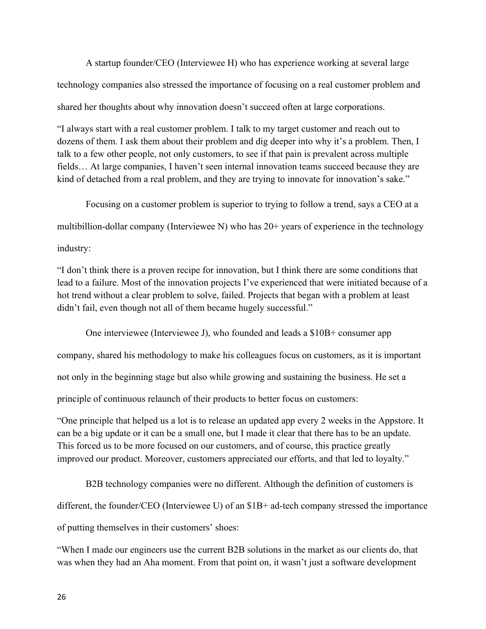A startup founder/CEO (Interviewee H) who has experience working at several large technology companies also stressed the importance of focusing on a real customer problem and shared her thoughts about why innovation doesn't succeed often at large corporations.

"I always start with a real customer problem. I talk to my target customer and reach out to dozens of them. I ask them about their problem and dig deeper into why it's a problem. Then, I talk to a few other people, not only customers, to see if that pain is prevalent across multiple fields… At large companies, I haven't seen internal innovation teams succeed because they are kind of detached from a real problem, and they are trying to innovate for innovation's sake."

Focusing on a customer problem is superior to trying to follow a trend, says a CEO at a multibillion-dollar company (Interviewee N) who has 20+ years of experience in the technology

industry:

"I don't think there is a proven recipe for innovation, but I think there are some conditions that lead to a failure. Most of the innovation projects I've experienced that were initiated because of a hot trend without a clear problem to solve, failed. Projects that began with a problem at least didn't fail, even though not all of them became hugely successful."

One interviewee (Interviewee J), who founded and leads a \$10B+ consumer app company, shared his methodology to make his colleagues focus on customers, as it is important not only in the beginning stage but also while growing and sustaining the business. He set a principle of continuous relaunch of their products to better focus on customers:

"One principle that helped us a lot is to release an updated app every 2 weeks in the Appstore. It can be a big update or it can be a small one, but I made it clear that there has to be an update. This forced us to be more focused on our customers, and of course, this practice greatly improved our product. Moreover, customers appreciated our efforts, and that led to loyalty."

B2B technology companies were no different. Although the definition of customers is different, the founder/CEO (Interviewee U) of an \$1B+ ad-tech company stressed the importance of putting themselves in their customers' shoes:

"When I made our engineers use the current B2B solutions in the market as our clients do, that was when they had an Aha moment. From that point on, it wasn't just a software development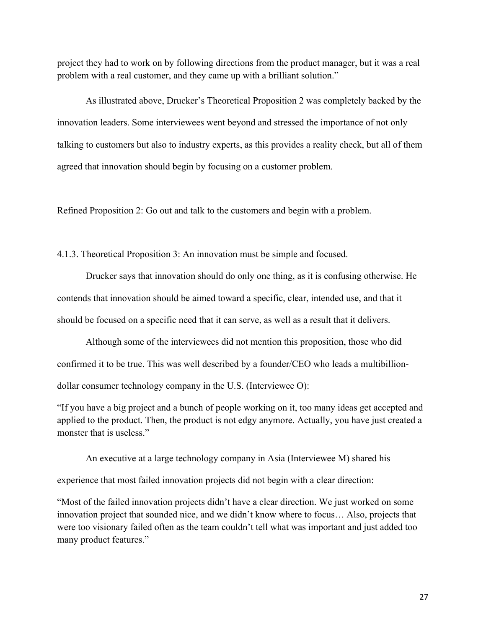project they had to work on by following directions from the product manager, but it was a real problem with a real customer, and they came up with a brilliant solution."

As illustrated above, Drucker's Theoretical Proposition 2 was completely backed by the innovation leaders. Some interviewees went beyond and stressed the importance of not only talking to customers but also to industry experts, as this provides a reality check, but all of them agreed that innovation should begin by focusing on a customer problem.

Refined Proposition 2: Go out and talk to the customers and begin with a problem.

4.1.3. Theoretical Proposition 3: An innovation must be simple and focused.

Drucker says that innovation should do only one thing, as it is confusing otherwise. He contends that innovation should be aimed toward a specific, clear, intended use, and that it should be focused on a specific need that it can serve, as well as a result that it delivers.

Although some of the interviewees did not mention this proposition, those who did confirmed it to be true. This was well described by a founder/CEO who leads a multibilliondollar consumer technology company in the U.S. (Interviewee O):

"If you have a big project and a bunch of people working on it, too many ideas get accepted and applied to the product. Then, the product is not edgy anymore. Actually, you have just created a monster that is useless."

An executive at a large technology company in Asia (Interviewee M) shared his

experience that most failed innovation projects did not begin with a clear direction:

"Most of the failed innovation projects didn't have a clear direction. We just worked on some innovation project that sounded nice, and we didn't know where to focus… Also, projects that were too visionary failed often as the team couldn't tell what was important and just added too many product features."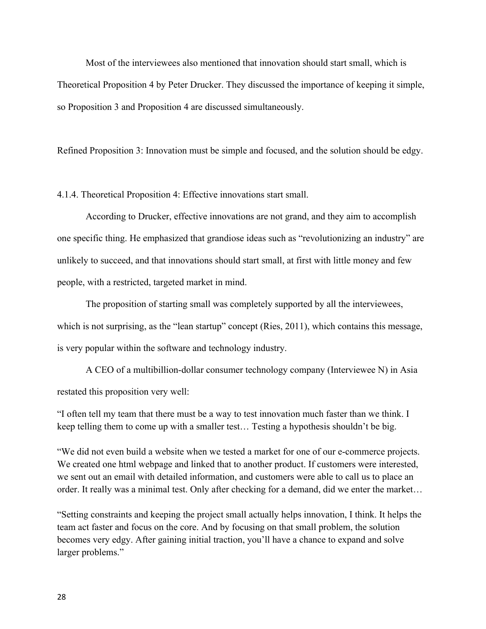Most of the interviewees also mentioned that innovation should start small, which is Theoretical Proposition 4 by Peter Drucker. They discussed the importance of keeping it simple, so Proposition 3 and Proposition 4 are discussed simultaneously.

Refined Proposition 3: Innovation must be simple and focused, and the solution should be edgy.

4.1.4. Theoretical Proposition 4: Effective innovations start small.

According to Drucker, effective innovations are not grand, and they aim to accomplish one specific thing. He emphasized that grandiose ideas such as "revolutionizing an industry" are unlikely to succeed, and that innovations should start small, at first with little money and few people, with a restricted, targeted market in mind.

The proposition of starting small was completely supported by all the interviewees, which is not surprising, as the "lean startup" concept (Ries, 2011), which contains this message, is very popular within the software and technology industry.

A CEO of a multibillion-dollar consumer technology company (Interviewee N) in Asia restated this proposition very well:

"I often tell my team that there must be a way to test innovation much faster than we think. I keep telling them to come up with a smaller test… Testing a hypothesis shouldn't be big.

"We did not even build a website when we tested a market for one of our e-commerce projects. We created one html webpage and linked that to another product. If customers were interested, we sent out an email with detailed information, and customers were able to call us to place an order. It really was a minimal test. Only after checking for a demand, did we enter the market…

"Setting constraints and keeping the project small actually helps innovation, I think. It helps the team act faster and focus on the core. And by focusing on that small problem, the solution becomes very edgy. After gaining initial traction, you'll have a chance to expand and solve larger problems."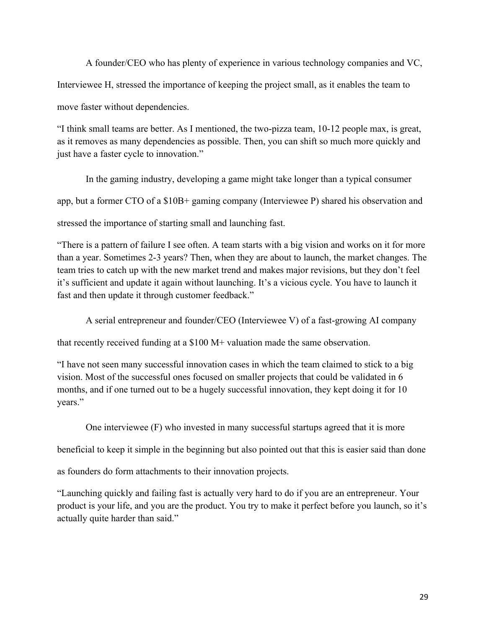A founder/CEO who has plenty of experience in various technology companies and VC, Interviewee H, stressed the importance of keeping the project small, as it enables the team to move faster without dependencies.

"I think small teams are better. As I mentioned, the two-pizza team, 10-12 people max, is great, as it removes as many dependencies as possible. Then, you can shift so much more quickly and just have a faster cycle to innovation."

In the gaming industry, developing a game might take longer than a typical consumer app, but a former CTO of a \$10B+ gaming company (Interviewee P) shared his observation and stressed the importance of starting small and launching fast.

"There is a pattern of failure I see often. A team starts with a big vision and works on it for more than a year. Sometimes 2-3 years? Then, when they are about to launch, the market changes. The team tries to catch up with the new market trend and makes major revisions, but they don't feel it's sufficient and update it again without launching. It's a vicious cycle. You have to launch it fast and then update it through customer feedback."

A serial entrepreneur and founder/CEO (Interviewee V) of a fast-growing AI company

that recently received funding at a \$100 M+ valuation made the same observation.

"I have not seen many successful innovation cases in which the team claimed to stick to a big vision. Most of the successful ones focused on smaller projects that could be validated in 6 months, and if one turned out to be a hugely successful innovation, they kept doing it for 10 years."

One interviewee (F) who invested in many successful startups agreed that it is more

beneficial to keep it simple in the beginning but also pointed out that this is easier said than done

as founders do form attachments to their innovation projects.

"Launching quickly and failing fast is actually very hard to do if you are an entrepreneur. Your product is your life, and you are the product. You try to make it perfect before you launch, so it's actually quite harder than said."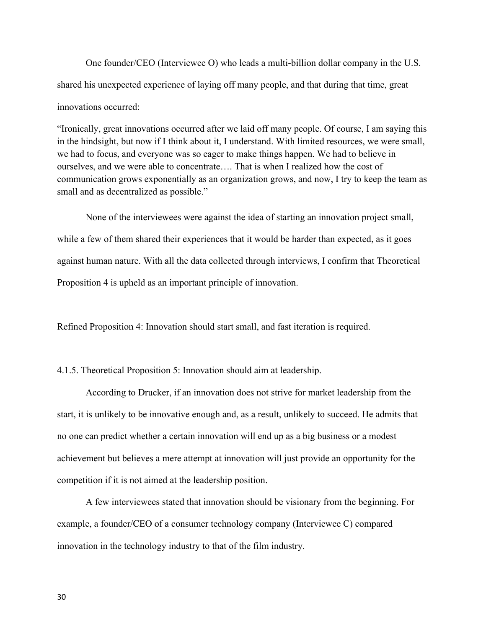One founder/CEO (Interviewee O) who leads a multi-billion dollar company in the U.S. shared his unexpected experience of laying off many people, and that during that time, great innovations occurred:

"Ironically, great innovations occurred after we laid off many people. Of course, I am saying this in the hindsight, but now if I think about it, I understand. With limited resources, we were small, we had to focus, and everyone was so eager to make things happen. We had to believe in ourselves, and we were able to concentrate…. That is when I realized how the cost of communication grows exponentially as an organization grows, and now, I try to keep the team as small and as decentralized as possible."

None of the interviewees were against the idea of starting an innovation project small, while a few of them shared their experiences that it would be harder than expected, as it goes against human nature. With all the data collected through interviews, I confirm that Theoretical Proposition 4 is upheld as an important principle of innovation.

Refined Proposition 4: Innovation should start small, and fast iteration is required.

4.1.5. Theoretical Proposition 5: Innovation should aim at leadership.

According to Drucker, if an innovation does not strive for market leadership from the start, it is unlikely to be innovative enough and, as a result, unlikely to succeed. He admits that no one can predict whether a certain innovation will end up as a big business or a modest achievement but believes a mere attempt at innovation will just provide an opportunity for the competition if it is not aimed at the leadership position.

A few interviewees stated that innovation should be visionary from the beginning. For example, a founder/CEO of a consumer technology company (Interviewee C) compared innovation in the technology industry to that of the film industry.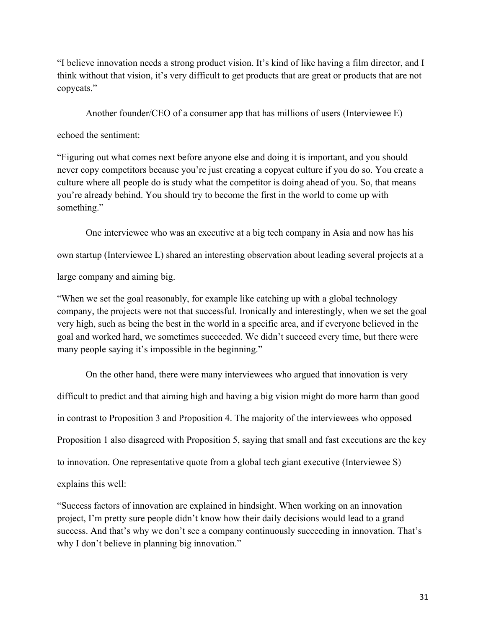"I believe innovation needs a strong product vision. It's kind of like having a film director, and I think without that vision, it's very difficult to get products that are great or products that are not copycats."

Another founder/CEO of a consumer app that has millions of users (Interviewee E)

echoed the sentiment:

"Figuring out what comes next before anyone else and doing it is important, and you should never copy competitors because you're just creating a copycat culture if you do so. You create a culture where all people do is study what the competitor is doing ahead of you. So, that means you're already behind. You should try to become the first in the world to come up with something."

One interviewee who was an executive at a big tech company in Asia and now has his

own startup (Interviewee L) shared an interesting observation about leading several projects at a

large company and aiming big.

"When we set the goal reasonably, for example like catching up with a global technology company, the projects were not that successful. Ironically and interestingly, when we set the goal very high, such as being the best in the world in a specific area, and if everyone believed in the goal and worked hard, we sometimes succeeded. We didn't succeed every time, but there were many people saying it's impossible in the beginning."

On the other hand, there were many interviewees who argued that innovation is very difficult to predict and that aiming high and having a big vision might do more harm than good in contrast to Proposition 3 and Proposition 4. The majority of the interviewees who opposed Proposition 1 also disagreed with Proposition 5, saying that small and fast executions are the key to innovation. One representative quote from a global tech giant executive (Interviewee S) explains this well:

"Success factors of innovation are explained in hindsight. When working on an innovation project, I'm pretty sure people didn't know how their daily decisions would lead to a grand success. And that's why we don't see a company continuously succeeding in innovation. That's why I don't believe in planning big innovation."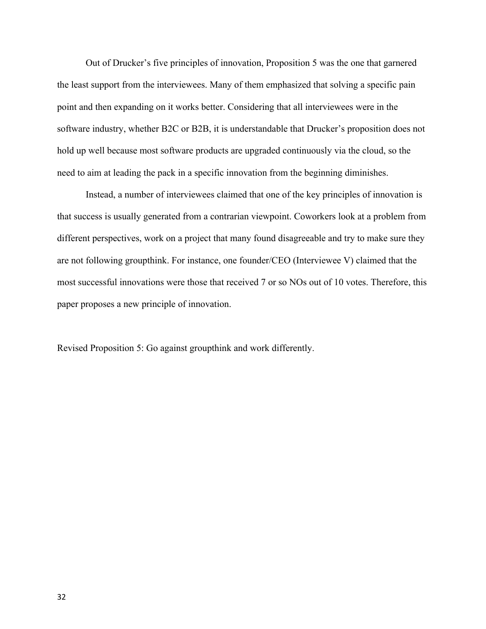Out of Drucker's five principles of innovation, Proposition 5 was the one that garnered the least support from the interviewees. Many of them emphasized that solving a specific pain point and then expanding on it works better. Considering that all interviewees were in the software industry, whether B2C or B2B, it is understandable that Drucker's proposition does not hold up well because most software products are upgraded continuously via the cloud, so the need to aim at leading the pack in a specific innovation from the beginning diminishes.

Instead, a number of interviewees claimed that one of the key principles of innovation is that success is usually generated from a contrarian viewpoint. Coworkers look at a problem from different perspectives, work on a project that many found disagreeable and try to make sure they are not following groupthink. For instance, one founder/CEO (Interviewee V) claimed that the most successful innovations were those that received 7 or so NOs out of 10 votes. Therefore, this paper proposes a new principle of innovation.

Revised Proposition 5: Go against groupthink and work differently.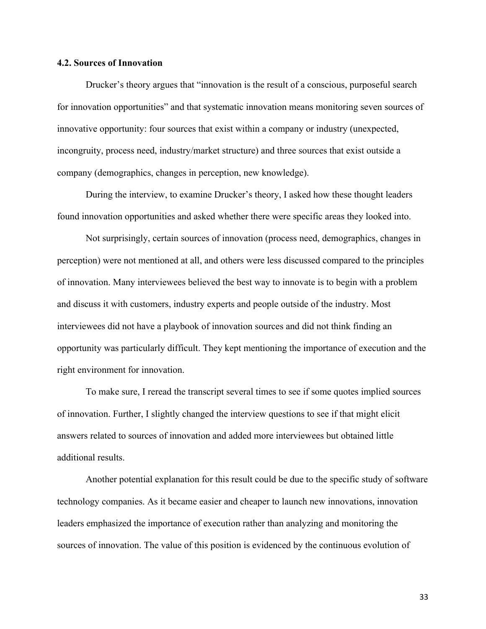#### **4.2. Sources of Innovation**

Drucker's theory argues that "innovation is the result of a conscious, purposeful search for innovation opportunities" and that systematic innovation means monitoring seven sources of innovative opportunity: four sources that exist within a company or industry (unexpected, incongruity, process need, industry/market structure) and three sources that exist outside a company (demographics, changes in perception, new knowledge).

During the interview, to examine Drucker's theory, I asked how these thought leaders found innovation opportunities and asked whether there were specific areas they looked into.

Not surprisingly, certain sources of innovation (process need, demographics, changes in perception) were not mentioned at all, and others were less discussed compared to the principles of innovation. Many interviewees believed the best way to innovate is to begin with a problem and discuss it with customers, industry experts and people outside of the industry. Most interviewees did not have a playbook of innovation sources and did not think finding an opportunity was particularly difficult. They kept mentioning the importance of execution and the right environment for innovation.

To make sure, I reread the transcript several times to see if some quotes implied sources of innovation. Further, I slightly changed the interview questions to see if that might elicit answers related to sources of innovation and added more interviewees but obtained little additional results.

Another potential explanation for this result could be due to the specific study of software technology companies. As it became easier and cheaper to launch new innovations, innovation leaders emphasized the importance of execution rather than analyzing and monitoring the sources of innovation. The value of this position is evidenced by the continuous evolution of

33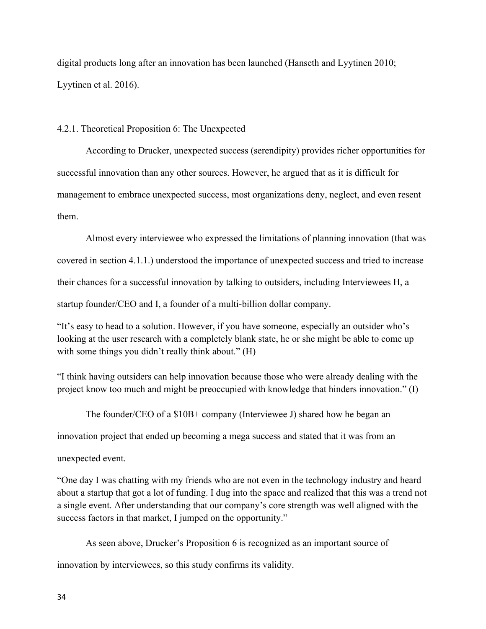digital products long after an innovation has been launched (Hanseth and Lyytinen 2010; Lyytinen et al. 2016).

4.2.1. Theoretical Proposition 6: The Unexpected

According to Drucker, unexpected success (serendipity) provides richer opportunities for successful innovation than any other sources. However, he argued that as it is difficult for management to embrace unexpected success, most organizations deny, neglect, and even resent them.

Almost every interviewee who expressed the limitations of planning innovation (that was covered in section 4.1.1.) understood the importance of unexpected success and tried to increase their chances for a successful innovation by talking to outsiders, including Interviewees H, a startup founder/CEO and I, a founder of a multi-billion dollar company.

"It's easy to head to a solution. However, if you have someone, especially an outsider who's looking at the user research with a completely blank state, he or she might be able to come up with some things you didn't really think about." (H)

"I think having outsiders can help innovation because those who were already dealing with the project know too much and might be preoccupied with knowledge that hinders innovation." (I)

The founder/CEO of a \$10B+ company (Interviewee J) shared how he began an

innovation project that ended up becoming a mega success and stated that it was from an

unexpected event.

"One day I was chatting with my friends who are not even in the technology industry and heard about a startup that got a lot of funding. I dug into the space and realized that this was a trend not a single event. After understanding that our company's core strength was well aligned with the success factors in that market, I jumped on the opportunity."

As seen above, Drucker's Proposition 6 is recognized as an important source of innovation by interviewees, so this study confirms its validity.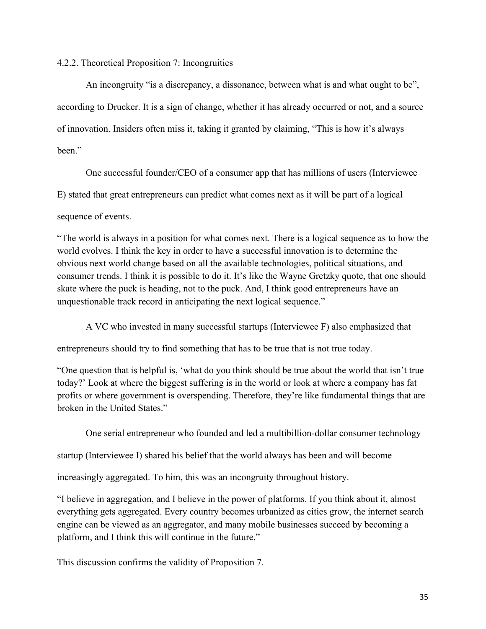## 4.2.2. Theoretical Proposition 7: Incongruities

An incongruity "is a discrepancy, a dissonance, between what is and what ought to be", according to Drucker. It is a sign of change, whether it has already occurred or not, and a source of innovation. Insiders often miss it, taking it granted by claiming, "This is how it's always been."

One successful founder/CEO of a consumer app that has millions of users (Interviewee E) stated that great entrepreneurs can predict what comes next as it will be part of a logical

sequence of events.

"The world is always in a position for what comes next. There is a logical sequence as to how the world evolves. I think the key in order to have a successful innovation is to determine the obvious next world change based on all the available technologies, political situations, and consumer trends. I think it is possible to do it. It's like the Wayne Gretzky quote, that one should skate where the puck is heading, not to the puck. And, I think good entrepreneurs have an unquestionable track record in anticipating the next logical sequence."

A VC who invested in many successful startups (Interviewee F) also emphasized that

entrepreneurs should try to find something that has to be true that is not true today.

"One question that is helpful is, 'what do you think should be true about the world that isn't true today?' Look at where the biggest suffering is in the world or look at where a company has fat profits or where government is overspending. Therefore, they're like fundamental things that are broken in the United States."

One serial entrepreneur who founded and led a multibillion-dollar consumer technology

startup (Interviewee I) shared his belief that the world always has been and will become

increasingly aggregated. To him, this was an incongruity throughout history.

"I believe in aggregation, and I believe in the power of platforms. If you think about it, almost everything gets aggregated. Every country becomes urbanized as cities grow, the internet search engine can be viewed as an aggregator, and many mobile businesses succeed by becoming a platform, and I think this will continue in the future."

This discussion confirms the validity of Proposition 7.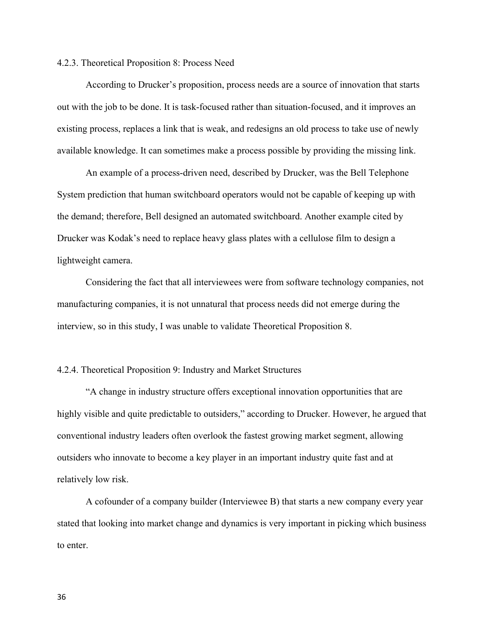#### 4.2.3. Theoretical Proposition 8: Process Need

According to Drucker's proposition, process needs are a source of innovation that starts out with the job to be done. It is task-focused rather than situation-focused, and it improves an existing process, replaces a link that is weak, and redesigns an old process to take use of newly available knowledge. It can sometimes make a process possible by providing the missing link.

An example of a process-driven need, described by Drucker, was the Bell Telephone System prediction that human switchboard operators would not be capable of keeping up with the demand; therefore, Bell designed an automated switchboard. Another example cited by Drucker was Kodak's need to replace heavy glass plates with a cellulose film to design a lightweight camera.

Considering the fact that all interviewees were from software technology companies, not manufacturing companies, it is not unnatural that process needs did not emerge during the interview, so in this study, I was unable to validate Theoretical Proposition 8.

#### 4.2.4. Theoretical Proposition 9: Industry and Market Structures

"A change in industry structure offers exceptional innovation opportunities that are highly visible and quite predictable to outsiders," according to Drucker. However, he argued that conventional industry leaders often overlook the fastest growing market segment, allowing outsiders who innovate to become a key player in an important industry quite fast and at relatively low risk.

A cofounder of a company builder (Interviewee B) that starts a new company every year stated that looking into market change and dynamics is very important in picking which business to enter.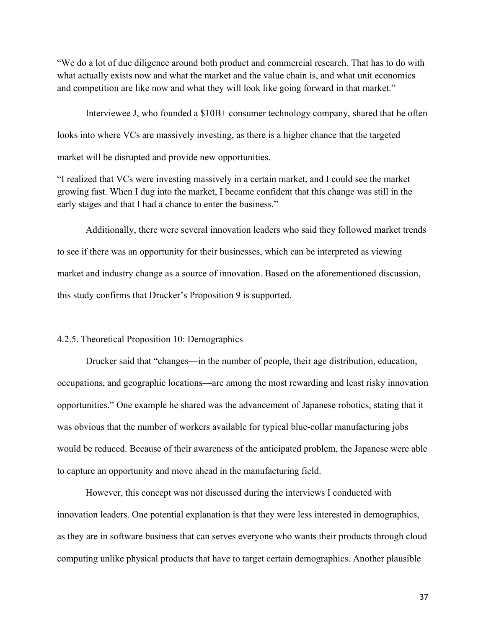"We do a lot of due diligence around both product and commercial research. That has to do with what actually exists now and what the market and the value chain is, and what unit economics and competition are like now and what they will look like going forward in that market."

Interviewee J, who founded a \$10B+ consumer technology company, shared that he often looks into where VCs are massively investing, as there is a higher chance that the targeted market will be disrupted and provide new opportunities.

"I realized that VCs were investing massively in a certain market, and I could see the market growing fast. When I dug into the market, I became confident that this change was still in the early stages and that I had a chance to enter the business."

Additionally, there were several innovation leaders who said they followed market trends to see if there was an opportunity for their businesses, which can be interpreted as viewing market and industry change as a source of innovation. Based on the aforementioned discussion, this study confirms that Drucker's Proposition 9 is supported.

#### 4.2.5. Theoretical Proposition 10: Demographics

Drucker said that "changes—in the number of people, their age distribution, education, occupations, and geographic locations—are among the most rewarding and least risky innovation opportunities." One example he shared was the advancement of Japanese robotics, stating that it was obvious that the number of workers available for typical blue-collar manufacturing jobs would be reduced. Because of their awareness of the anticipated problem, the Japanese were able to capture an opportunity and move ahead in the manufacturing field.

However, this concept was not discussed during the interviews I conducted with innovation leaders. One potential explanation is that they were less interested in demographics, as they are in software business that can serves everyone who wants their products through cloud computing unlike physical products that have to target certain demographics. Another plausible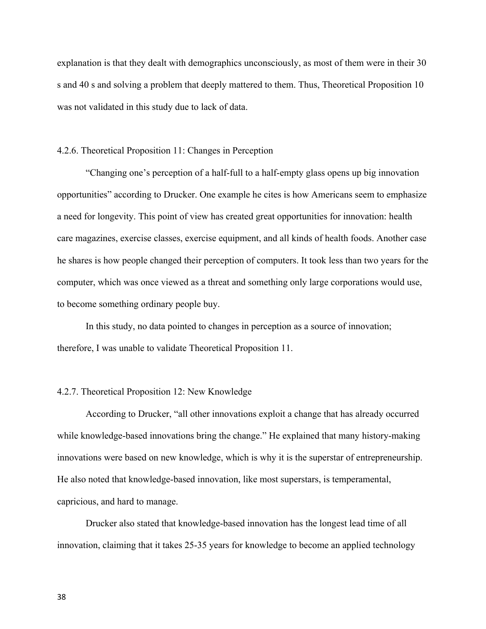explanation is that they dealt with demographics unconsciously, as most of them were in their 30 s and 40 s and solving a problem that deeply mattered to them. Thus, Theoretical Proposition 10 was not validated in this study due to lack of data.

#### 4.2.6. Theoretical Proposition 11: Changes in Perception

"Changing one's perception of a half-full to a half-empty glass opens up big innovation opportunities" according to Drucker. One example he cites is how Americans seem to emphasize a need for longevity. This point of view has created great opportunities for innovation: health care magazines, exercise classes, exercise equipment, and all kinds of health foods. Another case he shares is how people changed their perception of computers. It took less than two years for the computer, which was once viewed as a threat and something only large corporations would use, to become something ordinary people buy.

In this study, no data pointed to changes in perception as a source of innovation; therefore, I was unable to validate Theoretical Proposition 11.

#### 4.2.7. Theoretical Proposition 12: New Knowledge

According to Drucker, "all other innovations exploit a change that has already occurred while knowledge-based innovations bring the change." He explained that many history-making innovations were based on new knowledge, which is why it is the superstar of entrepreneurship. He also noted that knowledge-based innovation, like most superstars, is temperamental, capricious, and hard to manage.

Drucker also stated that knowledge-based innovation has the longest lead time of all innovation, claiming that it takes 25-35 years for knowledge to become an applied technology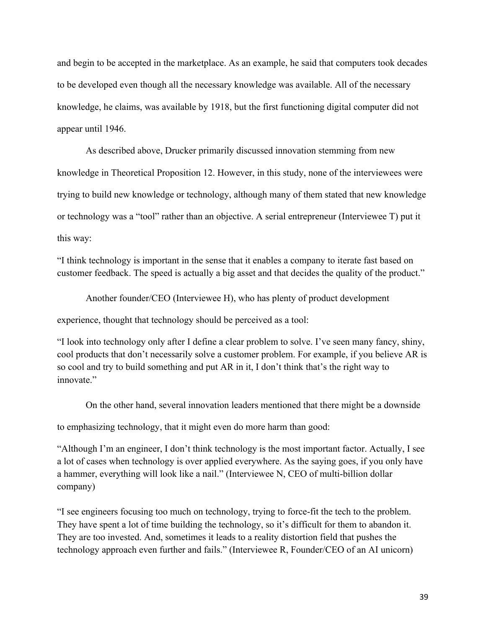and begin to be accepted in the marketplace. As an example, he said that computers took decades to be developed even though all the necessary knowledge was available. All of the necessary knowledge, he claims, was available by 1918, but the first functioning digital computer did not appear until 1946.

As described above, Drucker primarily discussed innovation stemming from new knowledge in Theoretical Proposition 12. However, in this study, none of the interviewees were trying to build new knowledge or technology, although many of them stated that new knowledge or technology was a "tool" rather than an objective. A serial entrepreneur (Interviewee T) put it this way:

"I think technology is important in the sense that it enables a company to iterate fast based on customer feedback. The speed is actually a big asset and that decides the quality of the product."

Another founder/CEO (Interviewee H), who has plenty of product development experience, thought that technology should be perceived as a tool:

"I look into technology only after I define a clear problem to solve. I've seen many fancy, shiny, cool products that don't necessarily solve a customer problem. For example, if you believe AR is so cool and try to build something and put AR in it, I don't think that's the right way to innovate."

On the other hand, several innovation leaders mentioned that there might be a downside

to emphasizing technology, that it might even do more harm than good:

"Although I'm an engineer, I don't think technology is the most important factor. Actually, I see a lot of cases when technology is over applied everywhere. As the saying goes, if you only have a hammer, everything will look like a nail." (Interviewee N, CEO of multi-billion dollar company)

"I see engineers focusing too much on technology, trying to force-fit the tech to the problem. They have spent a lot of time building the technology, so it's difficult for them to abandon it. They are too invested. And, sometimes it leads to a reality distortion field that pushes the technology approach even further and fails." (Interviewee R, Founder/CEO of an AI unicorn)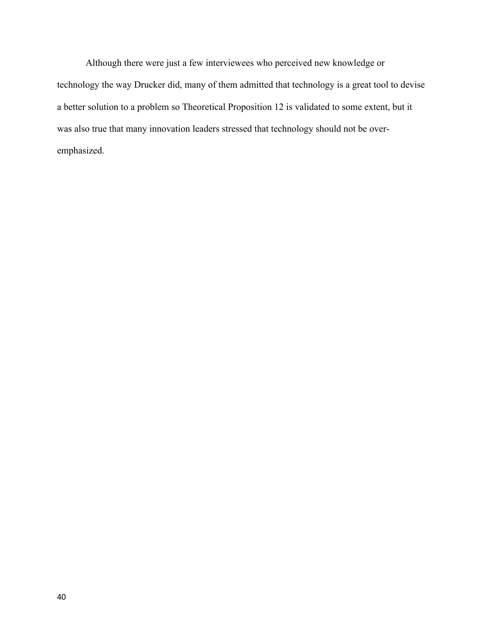Although there were just a few interviewees who perceived new knowledge or technology the way Drucker did, many of them admitted that technology is a great tool to devise a better solution to a problem so Theoretical Proposition 12 is validated to some extent, but it was also true that many innovation leaders stressed that technology should not be overemphasized.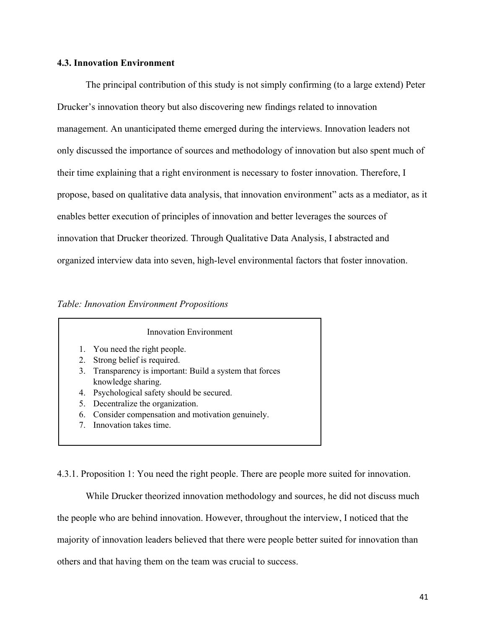#### **4.3. Innovation Environment**

The principal contribution of this study is not simply confirming (to a large extend) Peter Drucker's innovation theory but also discovering new findings related to innovation management. An unanticipated theme emerged during the interviews. Innovation leaders not only discussed the importance of sources and methodology of innovation but also spent much of their time explaining that a right environment is necessary to foster innovation. Therefore, I propose, based on qualitative data analysis, that innovation environment" acts as a mediator, as it enables better execution of principles of innovation and better leverages the sources of innovation that Drucker theorized. Through Qualitative Data Analysis, I abstracted and organized interview data into seven, high-level environmental factors that foster innovation.

#### *Table: Innovation Environment Propositions*

#### Innovation Environment

- 1. You need the right people.
- 2. Strong belief is required.
- 3. Transparency is important: Build a system that forces knowledge sharing.
- 4. Psychological safety should be secured.
- 5. Decentralize the organization.
- 6. Consider compensation and motivation genuinely.
- 7. Innovation takes time.

4.3.1. Proposition 1: You need the right people. There are people more suited for innovation.

While Drucker theorized innovation methodology and sources, he did not discuss much the people who are behind innovation. However, throughout the interview, I noticed that the majority of innovation leaders believed that there were people better suited for innovation than others and that having them on the team was crucial to success.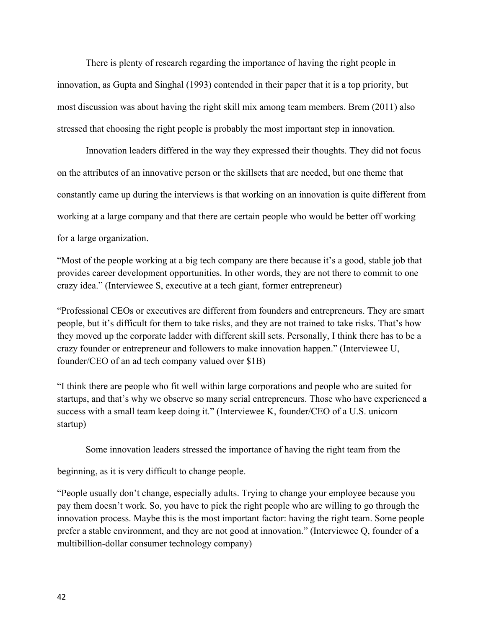There is plenty of research regarding the importance of having the right people in innovation, as Gupta and Singhal (1993) contended in their paper that it is a top priority, but most discussion was about having the right skill mix among team members. Brem (2011) also stressed that choosing the right people is probably the most important step in innovation.

Innovation leaders differed in the way they expressed their thoughts. They did not focus on the attributes of an innovative person or the skillsets that are needed, but one theme that constantly came up during the interviews is that working on an innovation is quite different from working at a large company and that there are certain people who would be better off working for a large organization.

"Most of the people working at a big tech company are there because it's a good, stable job that provides career development opportunities. In other words, they are not there to commit to one crazy idea." (Interviewee S, executive at a tech giant, former entrepreneur)

"Professional CEOs or executives are different from founders and entrepreneurs. They are smart people, but it's difficult for them to take risks, and they are not trained to take risks. That's how they moved up the corporate ladder with different skill sets. Personally, I think there has to be a crazy founder or entrepreneur and followers to make innovation happen." (Interviewee U, founder/CEO of an ad tech company valued over \$1B)

"I think there are people who fit well within large corporations and people who are suited for startups, and that's why we observe so many serial entrepreneurs. Those who have experienced a success with a small team keep doing it." (Interviewee K, founder/CEO of a U.S. unicorn startup)

Some innovation leaders stressed the importance of having the right team from the

beginning, as it is very difficult to change people.

"People usually don't change, especially adults. Trying to change your employee because you pay them doesn't work. So, you have to pick the right people who are willing to go through the innovation process. Maybe this is the most important factor: having the right team. Some people prefer a stable environment, and they are not good at innovation." (Interviewee Q, founder of a multibillion-dollar consumer technology company)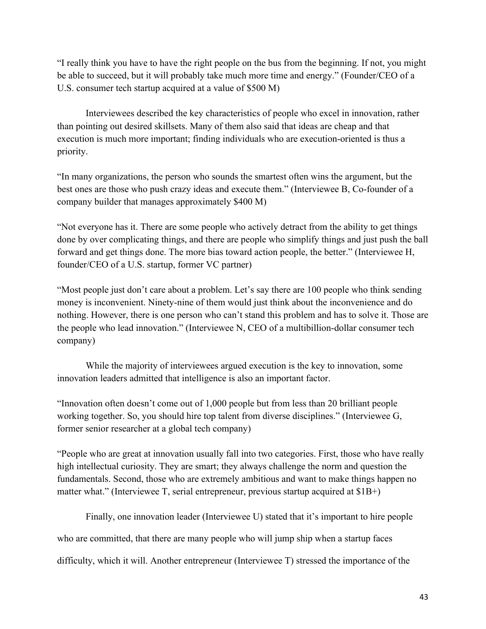"I really think you have to have the right people on the bus from the beginning. If not, you might be able to succeed, but it will probably take much more time and energy." (Founder/CEO of a U.S. consumer tech startup acquired at a value of \$500 M)

Interviewees described the key characteristics of people who excel in innovation, rather than pointing out desired skillsets. Many of them also said that ideas are cheap and that execution is much more important; finding individuals who are execution-oriented is thus a priority.

"In many organizations, the person who sounds the smartest often wins the argument, but the best ones are those who push crazy ideas and execute them." (Interviewee B, Co-founder of a company builder that manages approximately \$400 M)

"Not everyone has it. There are some people who actively detract from the ability to get things done by over complicating things, and there are people who simplify things and just push the ball forward and get things done. The more bias toward action people, the better." (Interviewee H, founder/CEO of a U.S. startup, former VC partner)

"Most people just don't care about a problem. Let's say there are 100 people who think sending money is inconvenient. Ninety-nine of them would just think about the inconvenience and do nothing. However, there is one person who can't stand this problem and has to solve it. Those are the people who lead innovation." (Interviewee N, CEO of a multibillion-dollar consumer tech company)

While the majority of interviewees argued execution is the key to innovation, some innovation leaders admitted that intelligence is also an important factor.

"Innovation often doesn't come out of 1,000 people but from less than 20 brilliant people working together. So, you should hire top talent from diverse disciplines." (Interviewee G, former senior researcher at a global tech company)

"People who are great at innovation usually fall into two categories. First, those who have really high intellectual curiosity. They are smart; they always challenge the norm and question the fundamentals. Second, those who are extremely ambitious and want to make things happen no matter what." (Interviewee T, serial entrepreneur, previous startup acquired at \$1B+)

Finally, one innovation leader (Interviewee U) stated that it's important to hire people who are committed, that there are many people who will jump ship when a startup faces difficulty, which it will. Another entrepreneur (Interviewee T) stressed the importance of the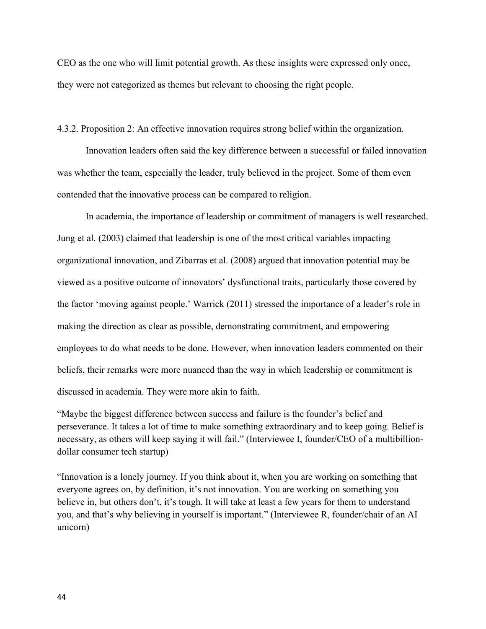CEO as the one who will limit potential growth. As these insights were expressed only once, they were not categorized as themes but relevant to choosing the right people.

4.3.2. Proposition 2: An effective innovation requires strong belief within the organization.

Innovation leaders often said the key difference between a successful or failed innovation was whether the team, especially the leader, truly believed in the project. Some of them even contended that the innovative process can be compared to religion.

In academia, the importance of leadership or commitment of managers is well researched. Jung et al. (2003) claimed that leadership is one of the most critical variables impacting organizational innovation, and Zibarras et al. (2008) argued that innovation potential may be viewed as a positive outcome of innovators' dysfunctional traits, particularly those covered by the factor 'moving against people.' Warrick (2011) stressed the importance of a leader's role in making the direction as clear as possible, demonstrating commitment, and empowering employees to do what needs to be done. However, when innovation leaders commented on their beliefs, their remarks were more nuanced than the way in which leadership or commitment is discussed in academia. They were more akin to faith.

"Maybe the biggest difference between success and failure is the founder's belief and perseverance. It takes a lot of time to make something extraordinary and to keep going. Belief is necessary, as others will keep saying it will fail." (Interviewee I, founder/CEO of a multibilliondollar consumer tech startup)

"Innovation is a lonely journey. If you think about it, when you are working on something that everyone agrees on, by definition, it's not innovation. You are working on something you believe in, but others don't, it's tough. It will take at least a few years for them to understand you, and that's why believing in yourself is important." (Interviewee R, founder/chair of an AI unicorn)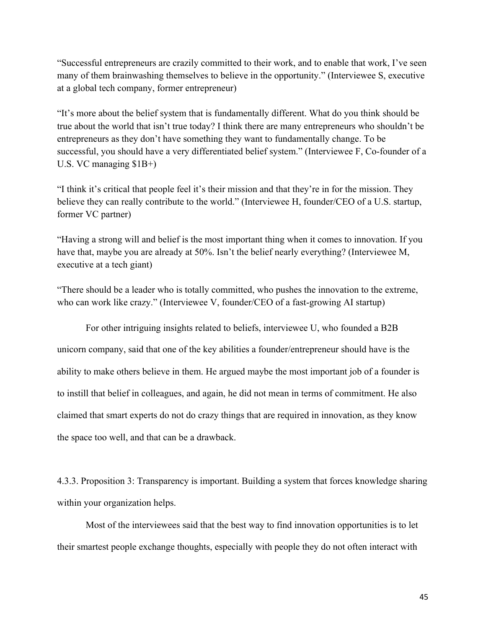"Successful entrepreneurs are crazily committed to their work, and to enable that work, I've seen many of them brainwashing themselves to believe in the opportunity." (Interviewee S, executive at a global tech company, former entrepreneur)

"It's more about the belief system that is fundamentally different. What do you think should be true about the world that isn't true today? I think there are many entrepreneurs who shouldn't be entrepreneurs as they don't have something they want to fundamentally change. To be successful, you should have a very differentiated belief system." (Interviewee F, Co-founder of a U.S. VC managing \$1B+)

"I think it's critical that people feel it's their mission and that they're in for the mission. They believe they can really contribute to the world." (Interviewee H, founder/CEO of a U.S. startup, former VC partner)

"Having a strong will and belief is the most important thing when it comes to innovation. If you have that, maybe you are already at 50%. Isn't the belief nearly everything? (Interviewee M, executive at a tech giant)

"There should be a leader who is totally committed, who pushes the innovation to the extreme, who can work like crazy." (Interviewee V, founder/CEO of a fast-growing AI startup)

For other intriguing insights related to beliefs, interviewee U, who founded a B2B unicorn company, said that one of the key abilities a founder/entrepreneur should have is the ability to make others believe in them. He argued maybe the most important job of a founder is to instill that belief in colleagues, and again, he did not mean in terms of commitment. He also claimed that smart experts do not do crazy things that are required in innovation, as they know the space too well, and that can be a drawback.

4.3.3. Proposition 3: Transparency is important. Building a system that forces knowledge sharing within your organization helps.

Most of the interviewees said that the best way to find innovation opportunities is to let their smartest people exchange thoughts, especially with people they do not often interact with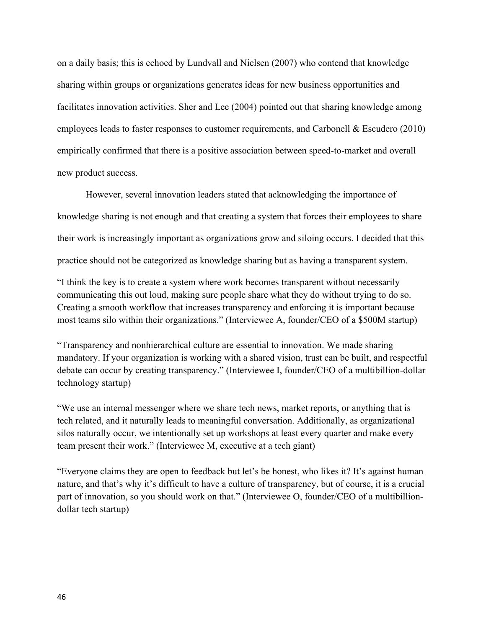on a daily basis; this is echoed by Lundvall and Nielsen (2007) who contend that knowledge sharing within groups or organizations generates ideas for new business opportunities and facilitates innovation activities. Sher and Lee (2004) pointed out that sharing knowledge among employees leads to faster responses to customer requirements, and Carbonell & Escudero (2010) empirically confirmed that there is a positive association between speed-to-market and overall new product success.

However, several innovation leaders stated that acknowledging the importance of knowledge sharing is not enough and that creating a system that forces their employees to share their work is increasingly important as organizations grow and siloing occurs. I decided that this practice should not be categorized as knowledge sharing but as having a transparent system.

"I think the key is to create a system where work becomes transparent without necessarily communicating this out loud, making sure people share what they do without trying to do so. Creating a smooth workflow that increases transparency and enforcing it is important because most teams silo within their organizations." (Interviewee A, founder/CEO of a \$500M startup)

"Transparency and nonhierarchical culture are essential to innovation. We made sharing mandatory. If your organization is working with a shared vision, trust can be built, and respectful debate can occur by creating transparency." (Interviewee I, founder/CEO of a multibillion-dollar technology startup)

"We use an internal messenger where we share tech news, market reports, or anything that is tech related, and it naturally leads to meaningful conversation. Additionally, as organizational silos naturally occur, we intentionally set up workshops at least every quarter and make every team present their work." (Interviewee M, executive at a tech giant)

"Everyone claims they are open to feedback but let's be honest, who likes it? It's against human nature, and that's why it's difficult to have a culture of transparency, but of course, it is a crucial part of innovation, so you should work on that." (Interviewee O, founder/CEO of a multibilliondollar tech startup)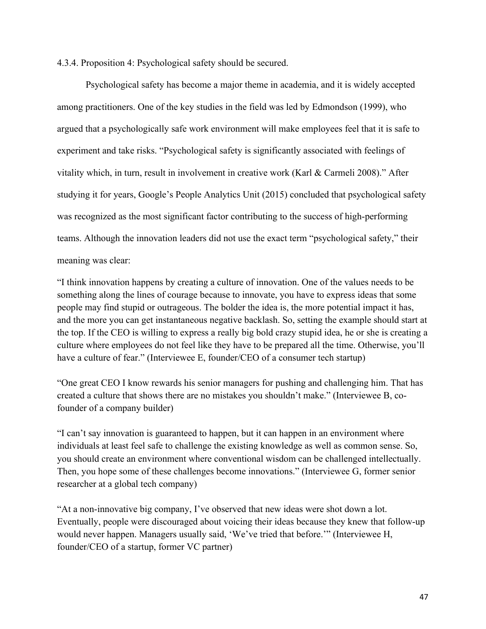4.3.4. Proposition 4: Psychological safety should be secured.

Psychological safety has become a major theme in academia, and it is widely accepted among practitioners. One of the key studies in the field was led by Edmondson (1999), who argued that a psychologically safe work environment will make employees feel that it is safe to experiment and take risks. "Psychological safety is significantly associated with feelings of vitality which, in turn, result in involvement in creative work (Karl & Carmeli 2008)." After studying it for years, Google's People Analytics Unit (2015) concluded that psychological safety was recognized as the most significant factor contributing to the success of high-performing teams. Although the innovation leaders did not use the exact term "psychological safety," their meaning was clear:

"I think innovation happens by creating a culture of innovation. One of the values needs to be something along the lines of courage because to innovate, you have to express ideas that some people may find stupid or outrageous. The bolder the idea is, the more potential impact it has, and the more you can get instantaneous negative backlash. So, setting the example should start at the top. If the CEO is willing to express a really big bold crazy stupid idea, he or she is creating a culture where employees do not feel like they have to be prepared all the time. Otherwise, you'll have a culture of fear." (Interviewee E, founder/CEO of a consumer tech startup)

"One great CEO I know rewards his senior managers for pushing and challenging him. That has created a culture that shows there are no mistakes you shouldn't make." (Interviewee B, cofounder of a company builder)

"I can't say innovation is guaranteed to happen, but it can happen in an environment where individuals at least feel safe to challenge the existing knowledge as well as common sense. So, you should create an environment where conventional wisdom can be challenged intellectually. Then, you hope some of these challenges become innovations." (Interviewee G, former senior researcher at a global tech company)

"At a non-innovative big company, I've observed that new ideas were shot down a lot. Eventually, people were discouraged about voicing their ideas because they knew that follow-up would never happen. Managers usually said, 'We've tried that before.'" (Interviewee H, founder/CEO of a startup, former VC partner)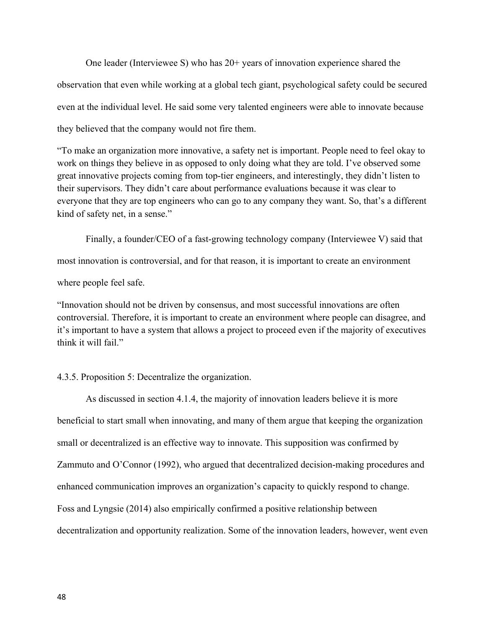One leader (Interviewee S) who has 20+ years of innovation experience shared the observation that even while working at a global tech giant, psychological safety could be secured even at the individual level. He said some very talented engineers were able to innovate because they believed that the company would not fire them.

"To make an organization more innovative, a safety net is important. People need to feel okay to work on things they believe in as opposed to only doing what they are told. I've observed some great innovative projects coming from top-tier engineers, and interestingly, they didn't listen to their supervisors. They didn't care about performance evaluations because it was clear to everyone that they are top engineers who can go to any company they want. So, that's a different kind of safety net, in a sense."

Finally, a founder/CEO of a fast-growing technology company (Interviewee V) said that most innovation is controversial, and for that reason, it is important to create an environment where people feel safe.

"Innovation should not be driven by consensus, and most successful innovations are often controversial. Therefore, it is important to create an environment where people can disagree, and it's important to have a system that allows a project to proceed even if the majority of executives think it will fail."

#### 4.3.5. Proposition 5: Decentralize the organization.

As discussed in section 4.1.4, the majority of innovation leaders believe it is more beneficial to start small when innovating, and many of them argue that keeping the organization small or decentralized is an effective way to innovate. This supposition was confirmed by Zammuto and O'Connor (1992), who argued that decentralized decision-making procedures and enhanced communication improves an organization's capacity to quickly respond to change. Foss and Lyngsie (2014) also empirically confirmed a positive relationship between decentralization and opportunity realization. Some of the innovation leaders, however, went even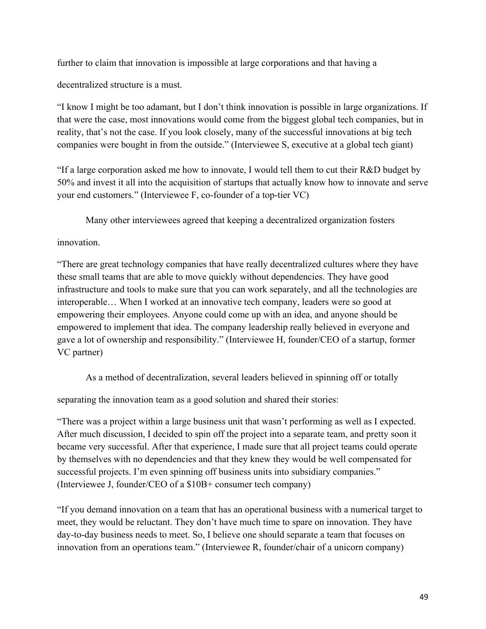further to claim that innovation is impossible at large corporations and that having a

decentralized structure is a must.

"I know I might be too adamant, but I don't think innovation is possible in large organizations. If that were the case, most innovations would come from the biggest global tech companies, but in reality, that's not the case. If you look closely, many of the successful innovations at big tech companies were bought in from the outside." (Interviewee S, executive at a global tech giant)

"If a large corporation asked me how to innovate, I would tell them to cut their R&D budget by 50% and invest it all into the acquisition of startups that actually know how to innovate and serve your end customers." (Interviewee F, co-founder of a top-tier VC)

Many other interviewees agreed that keeping a decentralized organization fosters

innovation.

"There are great technology companies that have really decentralized cultures where they have these small teams that are able to move quickly without dependencies. They have good infrastructure and tools to make sure that you can work separately, and all the technologies are interoperable… When I worked at an innovative tech company, leaders were so good at empowering their employees. Anyone could come up with an idea, and anyone should be empowered to implement that idea. The company leadership really believed in everyone and gave a lot of ownership and responsibility." (Interviewee H, founder/CEO of a startup, former VC partner)

As a method of decentralization, several leaders believed in spinning off or totally

separating the innovation team as a good solution and shared their stories:

"There was a project within a large business unit that wasn't performing as well as I expected. After much discussion, I decided to spin off the project into a separate team, and pretty soon it became very successful. After that experience, I made sure that all project teams could operate by themselves with no dependencies and that they knew they would be well compensated for successful projects. I'm even spinning off business units into subsidiary companies." (Interviewee J, founder/CEO of a \$10B+ consumer tech company)

"If you demand innovation on a team that has an operational business with a numerical target to meet, they would be reluctant. They don't have much time to spare on innovation. They have day-to-day business needs to meet. So, I believe one should separate a team that focuses on innovation from an operations team." (Interviewee R, founder/chair of a unicorn company)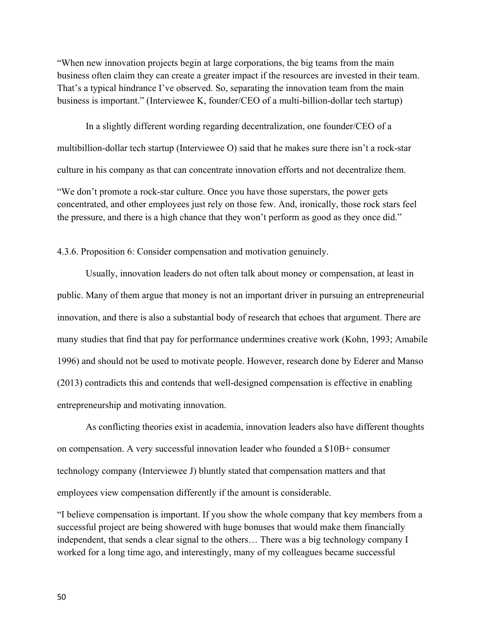"When new innovation projects begin at large corporations, the big teams from the main business often claim they can create a greater impact if the resources are invested in their team. That's a typical hindrance I've observed. So, separating the innovation team from the main business is important." (Interviewee K, founder/CEO of a multi-billion-dollar tech startup)

In a slightly different wording regarding decentralization, one founder/CEO of a multibillion-dollar tech startup (Interviewee O) said that he makes sure there isn't a rock-star culture in his company as that can concentrate innovation efforts and not decentralize them. "We don't promote a rock-star culture. Once you have those superstars, the power gets concentrated, and other employees just rely on those few. And, ironically, those rock stars feel the pressure, and there is a high chance that they won't perform as good as they once did."

4.3.6. Proposition 6: Consider compensation and motivation genuinely.

Usually, innovation leaders do not often talk about money or compensation, at least in public. Many of them argue that money is not an important driver in pursuing an entrepreneurial innovation, and there is also a substantial body of research that echoes that argument. There are many studies that find that pay for performance undermines creative work (Kohn, 1993; Amabile 1996) and should not be used to motivate people. However, research done by Ederer and Manso (2013) contradicts this and contends that well-designed compensation is effective in enabling entrepreneurship and motivating innovation.

As conflicting theories exist in academia, innovation leaders also have different thoughts on compensation. A very successful innovation leader who founded a \$10B+ consumer technology company (Interviewee J) bluntly stated that compensation matters and that employees view compensation differently if the amount is considerable.

"I believe compensation is important. If you show the whole company that key members from a successful project are being showered with huge bonuses that would make them financially independent, that sends a clear signal to the others… There was a big technology company I worked for a long time ago, and interestingly, many of my colleagues became successful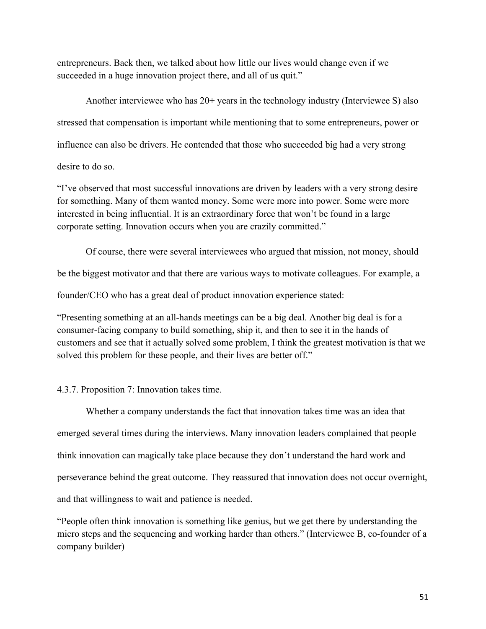entrepreneurs. Back then, we talked about how little our lives would change even if we succeeded in a huge innovation project there, and all of us quit."

Another interviewee who has 20+ years in the technology industry (Interviewee S) also stressed that compensation is important while mentioning that to some entrepreneurs, power or influence can also be drivers. He contended that those who succeeded big had a very strong desire to do so.

"I've observed that most successful innovations are driven by leaders with a very strong desire for something. Many of them wanted money. Some were more into power. Some were more interested in being influential. It is an extraordinary force that won't be found in a large corporate setting. Innovation occurs when you are crazily committed."

Of course, there were several interviewees who argued that mission, not money, should

be the biggest motivator and that there are various ways to motivate colleagues. For example, a

founder/CEO who has a great deal of product innovation experience stated:

"Presenting something at an all-hands meetings can be a big deal. Another big deal is for a consumer-facing company to build something, ship it, and then to see it in the hands of customers and see that it actually solved some problem, I think the greatest motivation is that we solved this problem for these people, and their lives are better off."

## 4.3.7. Proposition 7: Innovation takes time.

Whether a company understands the fact that innovation takes time was an idea that emerged several times during the interviews. Many innovation leaders complained that people think innovation can magically take place because they don't understand the hard work and perseverance behind the great outcome. They reassured that innovation does not occur overnight, and that willingness to wait and patience is needed.

"People often think innovation is something like genius, but we get there by understanding the micro steps and the sequencing and working harder than others." (Interviewee B, co-founder of a company builder)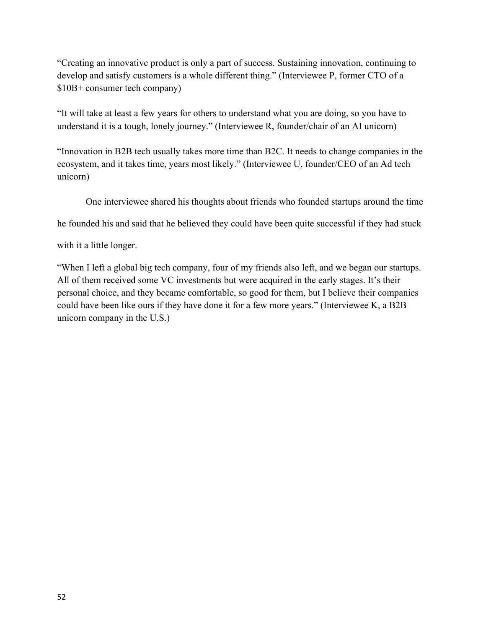"Creating an innovative product is only a part of success. Sustaining innovation, continuing to develop and satisfy customers is a whole different thing." (Interviewee P, former CTO of a \$10B+ consumer tech company)

"It will take at least a few years for others to understand what you are doing, so you have to understand it is a tough, lonely journey." (Interviewee R, founder/chair of an AI unicorn)

"Innovation in B2B tech usually takes more time than B2C. It needs to change companies in the ecosystem, and it takes time, years most likely." (Interviewee U, founder/CEO of an Ad tech unicorn)

One interviewee shared his thoughts about friends who founded startups around the time

he founded his and said that he believed they could have been quite successful if they had stuck

with it a little longer.

"When I left a global big tech company, four of my friends also left, and we began our startups. All of them received some VC investments but were acquired in the early stages. It's their personal choice, and they became comfortable, so good for them, but I believe their companies could have been like ours if they have done it for a few more years." (Interviewee K, a B2B unicorn company in the U.S.)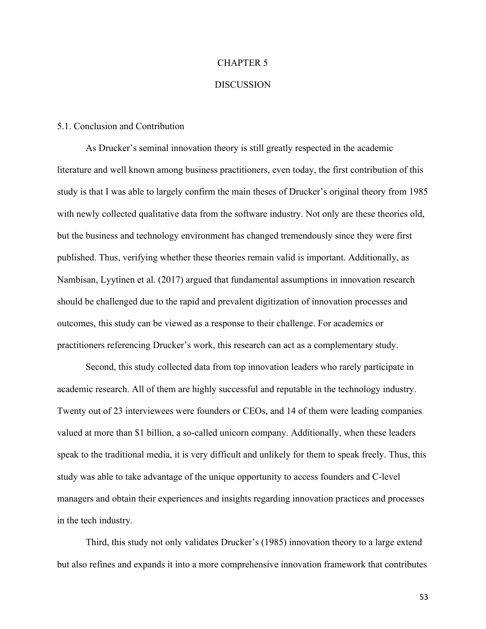#### CHAPTER 5

### **DISCUSSION**

#### 5.1. Conclusion and Contribution

As Drucker's seminal innovation theory is still greatly respected in the academic literature and well known among business practitioners, even today, the first contribution of this study is that I was able to largely confirm the main theses of Drucker's original theory from 1985 with newly collected qualitative data from the software industry. Not only are these theories old, but the business and technology environment has changed tremendously since they were first published. Thus, verifying whether these theories remain valid is important. Additionally, as Nambisan, Lyytinen et al. (2017) argued that fundamental assumptions in innovation research should be challenged due to the rapid and prevalent digitization of innovation processes and outcomes, this study can be viewed as a response to their challenge. For academics or practitioners referencing Drucker's work, this research can act as a complementary study.

Second, this study collected data from top innovation leaders who rarely participate in academic research. All of them are highly successful and reputable in the technology industry. Twenty out of 23 interviewees were founders or CEOs, and 14 of them were leading companies valued at more than \$1 billion, a so-called unicorn company. Additionally, when these leaders speak to the traditional media, it is very difficult and unlikely for them to speak freely. Thus, this study was able to take advantage of the unique opportunity to access founders and C-level managers and obtain their experiences and insights regarding innovation practices and processes in the tech industry.

Third, this study not only validates Drucker's (1985) innovation theory to a large extend but also refines and expands it into a more comprehensive innovation framework that contributes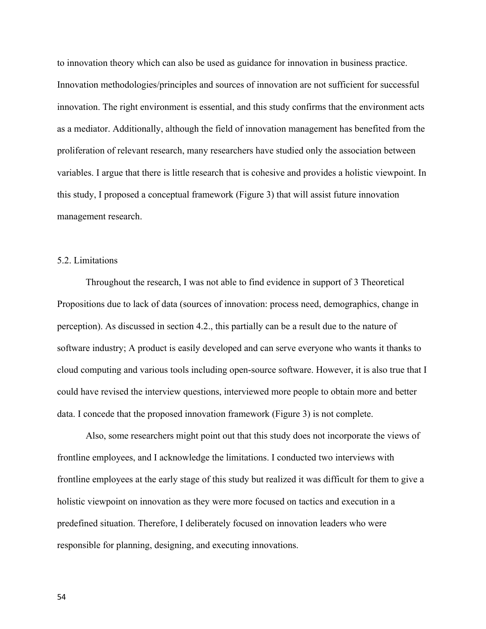to innovation theory which can also be used as guidance for innovation in business practice. Innovation methodologies/principles and sources of innovation are not sufficient for successful innovation. The right environment is essential, and this study confirms that the environment acts as a mediator. Additionally, although the field of innovation management has benefited from the proliferation of relevant research, many researchers have studied only the association between variables. I argue that there is little research that is cohesive and provides a holistic viewpoint. In this study, I proposed a conceptual framework (Figure 3) that will assist future innovation management research.

### 5.2. Limitations

Throughout the research, I was not able to find evidence in support of 3 Theoretical Propositions due to lack of data (sources of innovation: process need, demographics, change in perception). As discussed in section 4.2., this partially can be a result due to the nature of software industry; A product is easily developed and can serve everyone who wants it thanks to cloud computing and various tools including open-source software. However, it is also true that I could have revised the interview questions, interviewed more people to obtain more and better data. I concede that the proposed innovation framework (Figure 3) is not complete.

Also, some researchers might point out that this study does not incorporate the views of frontline employees, and I acknowledge the limitations. I conducted two interviews with frontline employees at the early stage of this study but realized it was difficult for them to give a holistic viewpoint on innovation as they were more focused on tactics and execution in a predefined situation. Therefore, I deliberately focused on innovation leaders who were responsible for planning, designing, and executing innovations.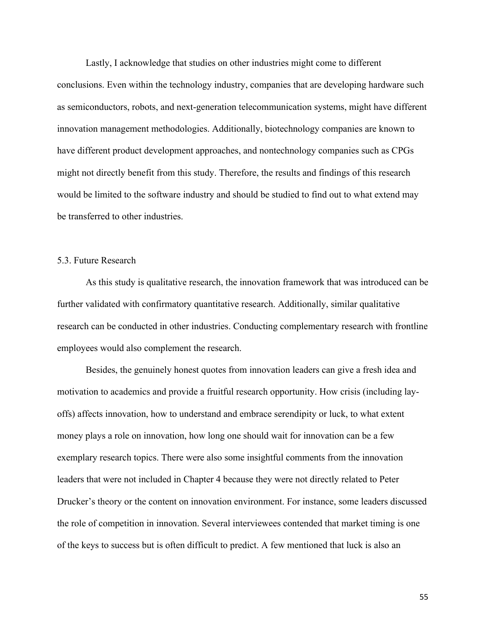Lastly, I acknowledge that studies on other industries might come to different conclusions. Even within the technology industry, companies that are developing hardware such as semiconductors, robots, and next-generation telecommunication systems, might have different innovation management methodologies. Additionally, biotechnology companies are known to have different product development approaches, and nontechnology companies such as CPGs might not directly benefit from this study. Therefore, the results and findings of this research would be limited to the software industry and should be studied to find out to what extend may be transferred to other industries.

## 5.3. Future Research

As this study is qualitative research, the innovation framework that was introduced can be further validated with confirmatory quantitative research. Additionally, similar qualitative research can be conducted in other industries. Conducting complementary research with frontline employees would also complement the research.

Besides, the genuinely honest quotes from innovation leaders can give a fresh idea and motivation to academics and provide a fruitful research opportunity. How crisis (including layoffs) affects innovation, how to understand and embrace serendipity or luck, to what extent money plays a role on innovation, how long one should wait for innovation can be a few exemplary research topics. There were also some insightful comments from the innovation leaders that were not included in Chapter 4 because they were not directly related to Peter Drucker's theory or the content on innovation environment. For instance, some leaders discussed the role of competition in innovation. Several interviewees contended that market timing is one of the keys to success but is often difficult to predict. A few mentioned that luck is also an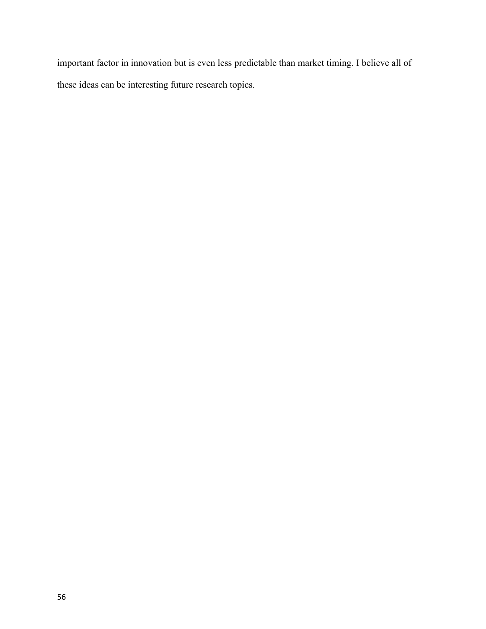important factor in innovation but is even less predictable than market timing. I believe all of these ideas can be interesting future research topics.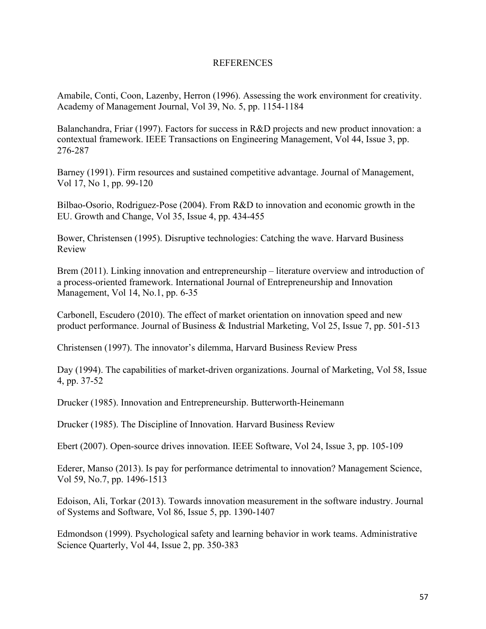### **REFERENCES**

Amabile, Conti, Coon, Lazenby, Herron (1996). Assessing the work environment for creativity. Academy of Management Journal, Vol 39, No. 5, pp. 1154-1184

Balanchandra, Friar (1997). Factors for success in R&D projects and new product innovation: a contextual framework. IEEE Transactions on Engineering Management, Vol 44, Issue 3, pp. 276-287

Barney (1991). Firm resources and sustained competitive advantage. Journal of Management, Vol 17, No 1, pp. 99-120

Bilbao-Osorio, Rodriguez-Pose (2004). From R&D to innovation and economic growth in the EU. Growth and Change, Vol 35, Issue 4, pp. 434-455

Bower, Christensen (1995). Disruptive technologies: Catching the wave. Harvard Business Review

Brem (2011). Linking innovation and entrepreneurship – literature overview and introduction of a process-oriented framework. International Journal of Entrepreneurship and Innovation Management, Vol 14, No.1, pp. 6-35

Carbonell, Escudero (2010). The effect of market orientation on innovation speed and new product performance. Journal of Business & Industrial Marketing, Vol 25, Issue 7, pp. 501-513

Christensen (1997). The innovator's dilemma, Harvard Business Review Press

Day (1994). The capabilities of market-driven organizations. Journal of Marketing, Vol 58, Issue 4, pp. 37-52

Drucker (1985). Innovation and Entrepreneurship. Butterworth-Heinemann

Drucker (1985). The Discipline of Innovation. Harvard Business Review

Ebert (2007). Open-source drives innovation. IEEE Software, Vol 24, Issue 3, pp. 105-109

Ederer, Manso (2013). Is pay for performance detrimental to innovation? Management Science, Vol 59, No.7, pp. 1496-1513

Edoison, Ali, Torkar (2013). Towards innovation measurement in the software industry. Journal of Systems and Software, Vol 86, Issue 5, pp. 1390-1407

Edmondson (1999). Psychological safety and learning behavior in work teams. Administrative Science Quarterly, Vol 44, Issue 2, pp. 350-383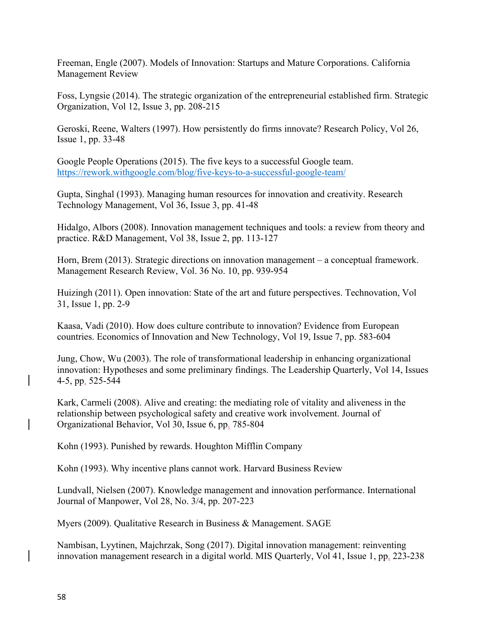Freeman, Engle (2007). Models of Innovation: Startups and Mature Corporations. California Management Review

Foss, Lyngsie (2014). The strategic organization of the entrepreneurial established firm. Strategic Organization, Vol 12, Issue 3, pp. 208-215

Geroski, Reene, Walters (1997). How persistently do firms innovate? Research Policy, Vol 26, Issue 1, pp. 33-48

Google People Operations (2015). The five keys to a successful Google team. https://rework.withgoogle.com/blog/five-keys-to-a-successful-google-team/

Gupta, Singhal (1993). Managing human resources for innovation and creativity. Research Technology Management, Vol 36, Issue 3, pp. 41-48

Hidalgo, Albors (2008). Innovation management techniques and tools: a review from theory and practice. R&D Management, Vol 38, Issue 2, pp. 113-127

Horn, Brem (2013). Strategic directions on innovation management – a conceptual framework. Management Research Review, Vol. 36 No. 10, pp. 939-954

Huizingh (2011). Open innovation: State of the art and future perspectives. Technovation, Vol 31, Issue 1, pp. 2-9

Kaasa, Vadi (2010). How does culture contribute to innovation? Evidence from European countries. Economics of Innovation and New Technology, Vol 19, Issue 7, pp. 583-604

Jung, Chow, Wu (2003). The role of transformational leadership in enhancing organizational innovation: Hypotheses and some preliminary findings. The Leadership Quarterly, Vol 14, Issues 4-5, pp. 525-544

Kark, Carmeli (2008). Alive and creating: the mediating role of vitality and aliveness in the relationship between psychological safety and creative work involvement. Journal of Organizational Behavior, Vol 30, Issue 6, pp. 785-804

Kohn (1993). Punished by rewards. Houghton Mifflin Company

Kohn (1993). Why incentive plans cannot work. Harvard Business Review

Lundvall, Nielsen (2007). Knowledge management and innovation performance. International Journal of Manpower, Vol 28, No. 3/4, pp. 207-223

Myers (2009). Qualitative Research in Business & Management. SAGE

Nambisan, Lyytinen, Majchrzak, Song (2017). Digital innovation management: reinventing innovation management research in a digital world. MIS Quarterly, Vol 41, Issue 1, pp. 223-238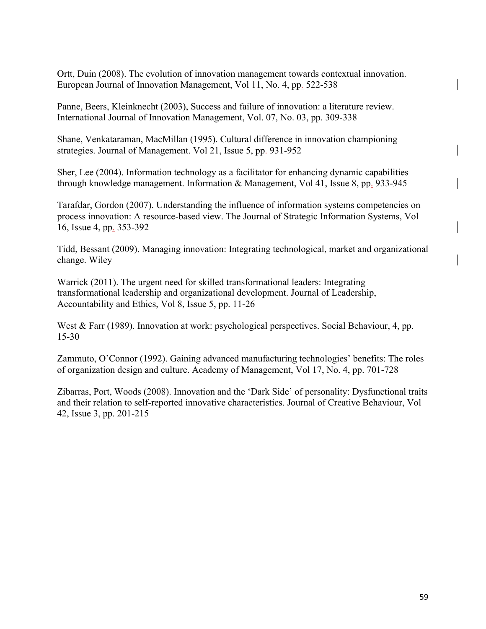Ortt, Duin (2008). The evolution of innovation management towards contextual innovation. European Journal of Innovation Management, Vol 11, No. 4, pp. 522-538

Panne, Beers, Kleinknecht (2003), Success and failure of innovation: a literature review. International Journal of Innovation Management, Vol. 07, No. 03, pp. 309-338

Shane, Venkataraman, MacMillan (1995). Cultural difference in innovation championing strategies. Journal of Management. Vol 21, Issue 5, pp. 931-952

Sher, Lee (2004). Information technology as a facilitator for enhancing dynamic capabilities through knowledge management. Information & Management, Vol 41, Issue 8, pp. 933-945

Tarafdar, Gordon (2007). Understanding the influence of information systems competencies on process innovation: A resource-based view. The Journal of Strategic Information Systems, Vol 16, Issue 4, pp. 353-392

Tidd, Bessant (2009). Managing innovation: Integrating technological, market and organizational change. Wiley

Warrick (2011). The urgent need for skilled transformational leaders: Integrating transformational leadership and organizational development. Journal of Leadership, Accountability and Ethics, Vol 8, Issue 5, pp. 11-26

West & Farr (1989). Innovation at work: psychological perspectives. Social Behaviour, 4, pp. 15-30

Zammuto, O'Connor (1992). Gaining advanced manufacturing technologies' benefits: The roles of organization design and culture. Academy of Management, Vol 17, No. 4, pp. 701-728

Zibarras, Port, Woods (2008). Innovation and the 'Dark Side' of personality: Dysfunctional traits and their relation to self-reported innovative characteristics. Journal of Creative Behaviour, Vol 42, Issue 3, pp. 201-215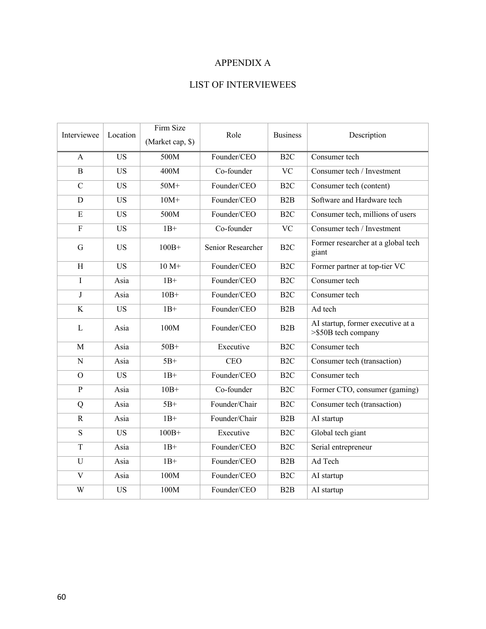## APPENDIX A

# LIST OF INTERVIEWEES

| Interviewee    | Location  | Firm Size        | Role              | <b>Business</b>  | Description                                              |
|----------------|-----------|------------------|-------------------|------------------|----------------------------------------------------------|
|                |           | (Market cap, \$) |                   |                  |                                                          |
| A              | <b>US</b> | 500M             | Founder/CEO       | B <sub>2C</sub>  | Consumer tech                                            |
| $\overline{B}$ | <b>US</b> | 400M             | Co-founder        | <b>VC</b>        | Consumer tech / Investment                               |
| $\mathbf C$    | <b>US</b> | $50M+$           | Founder/CEO       | B <sub>2C</sub>  | Consumer tech (content)                                  |
| D              | <b>US</b> | $10M+$           | Founder/CEO       | B2B              | Software and Hardware tech                               |
| E              | <b>US</b> | 500M             | Founder/CEO       | B <sub>2C</sub>  | Consumer tech, millions of users                         |
| $\mathbf F$    | <b>US</b> | $1B+$            | Co-founder        | <b>VC</b>        | Consumer tech / Investment                               |
| G              | <b>US</b> | $100B+$          | Senior Researcher | B <sub>2</sub> C | Former researcher at a global tech<br>giant              |
| H              | <b>US</b> | $10 M+$          | Founder/CEO       | B <sub>2C</sub>  | Former partner at top-tier VC                            |
| I              | Asia      | $1B+$            | Founder/CEO       | B <sub>2C</sub>  | Consumer tech                                            |
| J              | Asia      | $10B+$           | Founder/CEO       | B <sub>2C</sub>  | Consumer tech                                            |
| $\rm K$        | <b>US</b> | $1B+$            | Founder/CEO       | B2B              | Ad tech                                                  |
| $\mathbf{L}$   | Asia      | 100M             | Founder/CEO       | B2B              | AI startup, former executive at a<br>>\$50B tech company |
| M              | Asia      | $50B+$           | Executive         | B <sub>2</sub> C | Consumer tech                                            |
| $\mathbf N$    | Asia      | $5B+$            | <b>CEO</b>        | B <sub>2C</sub>  | Consumer tech (transaction)                              |
| $\Omega$       | <b>US</b> | $1B+$            | Founder/CEO       | B <sub>2C</sub>  | Consumer tech                                            |
| $\mathbf{P}$   | Asia      | $10B+$           | Co-founder        | B <sub>2C</sub>  | Former CTO, consumer (gaming)                            |
| Q              | Asia      | $5B+$            | Founder/Chair     | B <sub>2C</sub>  | Consumer tech (transaction)                              |
| $\mathbb{R}$   | Asia      | $1B+$            | Founder/Chair     | B2B              | AI startup                                               |
| S              | <b>US</b> | $100B+$          | Executive         | B <sub>2C</sub>  | Global tech giant                                        |
| T              | Asia      | $1B+$            | Founder/CEO       | B <sub>2</sub> C | Serial entrepreneur                                      |
| U              | Asia      | $1B+$            | Founder/CEO       | B <sub>2</sub> B | Ad Tech                                                  |
| $\mathbf V$    | Asia      | 100M             | Founder/CEO       | B <sub>2C</sub>  | AI startup                                               |
| W              | <b>US</b> | 100M             | Founder/CEO       | B2B              | AI startup                                               |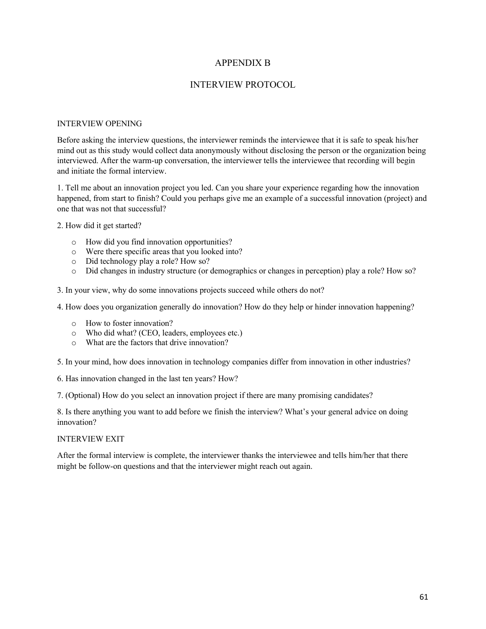## APPENDIX B

## INTERVIEW PROTOCOL

#### INTERVIEW OPENING

Before asking the interview questions, the interviewer reminds the interviewee that it is safe to speak his/her mind out as this study would collect data anonymously without disclosing the person or the organization being interviewed. After the warm-up conversation, the interviewer tells the interviewee that recording will begin and initiate the formal interview.

1. Tell me about an innovation project you led. Can you share your experience regarding how the innovation happened, from start to finish? Could you perhaps give me an example of a successful innovation (project) and one that was not that successful?

2. How did it get started?

- o How did you find innovation opportunities?
- o Were there specific areas that you looked into?
- o Did technology play a role? How so?
- o Did changes in industry structure (or demographics or changes in perception) play a role? How so?

3. In your view, why do some innovations projects succeed while others do not?

4. How does you organization generally do innovation? How do they help or hinder innovation happening?

- o How to foster innovation?
- o Who did what? (CEO, leaders, employees etc.)
- o What are the factors that drive innovation?

5. In your mind, how does innovation in technology companies differ from innovation in other industries?

6. Has innovation changed in the last ten years? How?

7. (Optional) How do you select an innovation project if there are many promising candidates?

8. Is there anything you want to add before we finish the interview? What's your general advice on doing innovation?

#### INTERVIEW EXIT

After the formal interview is complete, the interviewer thanks the interviewee and tells him/her that there might be follow-on questions and that the interviewer might reach out again.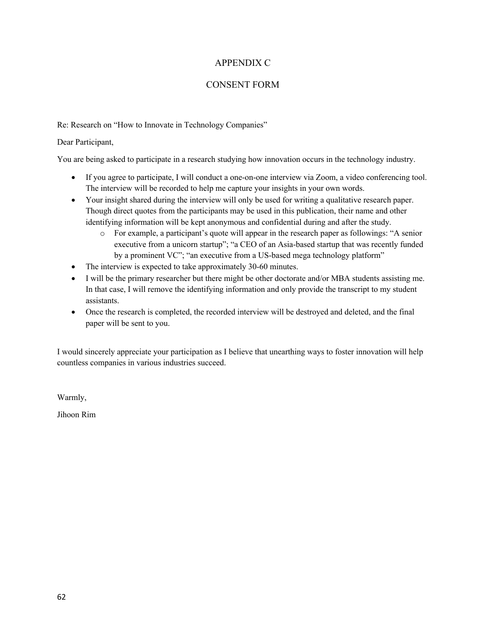## APPENDIX C

## CONSENT FORM

Re: Research on "How to Innovate in Technology Companies"

Dear Participant,

You are being asked to participate in a research studying how innovation occurs in the technology industry.

- If you agree to participate, I will conduct a one-on-one interview via Zoom, a video conferencing tool. The interview will be recorded to help me capture your insights in your own words.
- Your insight shared during the interview will only be used for writing a qualitative research paper. Though direct quotes from the participants may be used in this publication, their name and other identifying information will be kept anonymous and confidential during and after the study.
	- o For example, a participant's quote will appear in the research paper as followings: "A senior executive from a unicorn startup"; "a CEO of an Asia-based startup that was recently funded by a prominent VC"; "an executive from a US-based mega technology platform"
- The interview is expected to take approximately 30-60 minutes.
- I will be the primary researcher but there might be other doctorate and/or MBA students assisting me. In that case, I will remove the identifying information and only provide the transcript to my student assistants.
- Once the research is completed, the recorded interview will be destroyed and deleted, and the final paper will be sent to you.

I would sincerely appreciate your participation as I believe that unearthing ways to foster innovation will help countless companies in various industries succeed.

Warmly,

Jihoon Rim